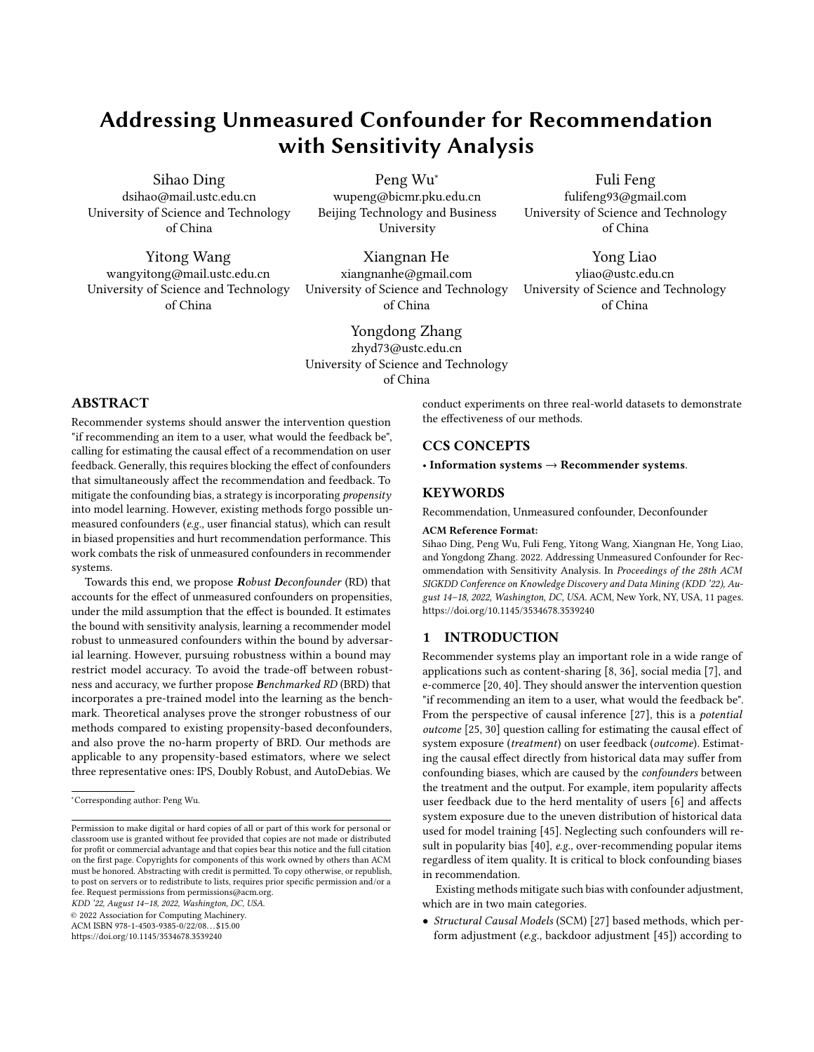# Addressing Unmeasured Confounder for Recommendation with Sensitivity Analysis

Sihao Ding dsihao@mail.ustc.edu.cn University of Science and Technology of China

Yitong Wang wangyitong@mail.ustc.edu.cn University of Science and Technology of China

Peng Wu<sup>∗</sup> wupeng@bicmr.pku.edu.cn Beijing Technology and Business University

Xiangnan He xiangnanhe@gmail.com University of Science and Technology of China

Yongdong Zhang zhyd73@ustc.edu.cn University of Science and Technology of China

## ABSTRACT

Recommender systems should answer the intervention question "if recommending an item to a user, what would the feedback be", calling for estimating the causal effect of a recommendation on user feedback. Generally, this requires blocking the effect of confounders that simultaneously affect the recommendation and feedback. To mitigate the confounding bias, a strategy is incorporating propensity into model learning. However, existing methods forgo possible unmeasured confounders (e.g., user financial status), which can result in biased propensities and hurt recommendation performance. This work combats the risk of unmeasured confounders in recommender systems.

Towards this end, we propose Robust Deconfounder (RD) that accounts for the effect of unmeasured confounders on propensities, under the mild assumption that the effect is bounded. It estimates the bound with sensitivity analysis, learning a recommender model robust to unmeasured confounders within the bound by adversarial learning. However, pursuing robustness within a bound may restrict model accuracy. To avoid the trade-off between robustness and accuracy, we further propose Benchmarked RD (BRD) that incorporates a pre-trained model into the learning as the benchmark. Theoretical analyses prove the stronger robustness of our methods compared to existing propensity-based deconfounders, and also prove the no-harm property of BRD. Our methods are applicable to any propensity-based estimators, where we select three representative ones: IPS, Doubly Robust, and AutoDebias. We

KDD '22, August 14–18, 2022, Washington, DC, USA.

© 2022 Association for Computing Machinery.

ACM ISBN 978-1-4503-9385-0/22/08. . . \$15.00

<https://doi.org/10.1145/3534678.3539240>

conduct experiments on three real-world datasets to demonstrate the effectiveness of our methods.

## CCS CONCEPTS

• Information systems  $\rightarrow$  Recommender systems.

# **KEYWORDS**

Recommendation, Unmeasured confounder, Deconfounder

#### ACM Reference Format:

Sihao Ding, Peng Wu, Fuli Feng, Yitong Wang, Xiangnan He, Yong Liao, and Yongdong Zhang. 2022. Addressing Unmeasured Confounder for Recommendation with Sensitivity Analysis. In Proceedings of the 28th ACM SIGKDD Conference on Knowledge Discovery and Data Mining (KDD '22), August 14–18, 2022, Washington, DC, USA. ACM, New York, NY, USA, [11](#page-10-0) pages. <https://doi.org/10.1145/3534678.3539240>

## 1 INTRODUCTION

Recommender systems play an important role in a wide range of applications such as content-sharing [\[8,](#page-8-0) [36\]](#page-8-1), social media [\[7\]](#page-8-2), and e-commerce [\[20,](#page-8-3) [40\]](#page-8-4). They should answer the intervention question "if recommending an item to a user, what would the feedback be". From the perspective of causal inference [\[27\]](#page-8-5), this is a potential outcome [\[25,](#page-8-6) [30\]](#page-8-7) question calling for estimating the causal effect of system exposure (treatment) on user feedback (outcome). Estimating the causal effect directly from historical data may suffer from confounding biases, which are caused by the confounders between the treatment and the output. For example, item popularity affects user feedback due to the herd mentality of users [\[6\]](#page-8-8) and affects system exposure due to the uneven distribution of historical data used for model training [\[45\]](#page-8-9). Neglecting such confounders will result in popularity bias [\[40\]](#page-8-4), e.g., over-recommending popular items regardless of item quality. It is critical to block confounding biases in recommendation.

Existing methods mitigate such bias with confounder adjustment, which are in two main categories.

• Structural Causal Models (SCM) [\[27\]](#page-8-5) based methods, which perform adjustment (e.g., backdoor adjustment [\[45\]](#page-8-9)) according to

Fuli Feng

fulifeng93@gmail.com University of Science and Technology of China

Yong Liao

yliao@ustc.edu.cn University of Science and Technology of China

<sup>∗</sup>Corresponding author: Peng Wu.

Permission to make digital or hard copies of all or part of this work for personal or classroom use is granted without fee provided that copies are not made or distributed for profit or commercial advantage and that copies bear this notice and the full citation on the first page. Copyrights for components of this work owned by others than ACM must be honored. Abstracting with credit is permitted. To copy otherwise, or republish, to post on servers or to redistribute to lists, requires prior specific permission and/or a fee. Request permissions from permissions@acm.org.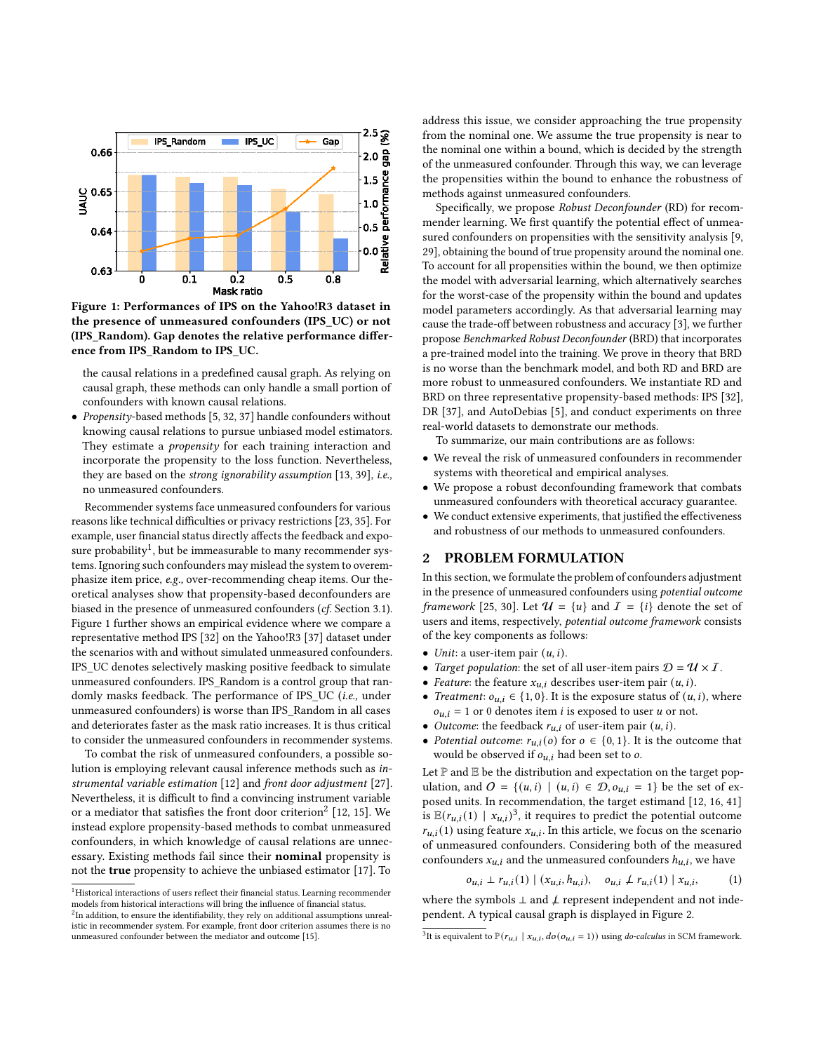<span id="page-1-1"></span>

Figure 1: Performances of IPS on the Yahoo!R3 dataset in the presence of unmeasured confounders (IPS\_UC) or not (IPS\_Random). Gap denotes the relative performance difference from IPS\_Random to IPS\_UC.

the causal relations in a predefined causal graph. As relying on causal graph, these methods can only handle a small portion of confounders with known causal relations.

• Propensity-based methods [\[5,](#page-8-10) [32,](#page-8-11) [37\]](#page-8-12) handle confounders without knowing causal relations to pursue unbiased model estimators. They estimate a *propensity* for each training interaction and incorporate the propensity to the loss function. Nevertheless, they are based on the strong ignorability assumption [\[13,](#page-8-13) [39\]](#page-8-14), i.e., no unmeasured confounders.

Recommender systems face unmeasured confounders for various reasons like technical difficulties or privacy restrictions [\[23,](#page-8-15) [35\]](#page-8-16). For example, user financial status directly affects the feedback and expo-sure probability<sup>[1](#page-1-0)</sup>, but be immeasurable to many recommender systems. Ignoring such confounders may mislead the system to overemphasize item price, e.g., over-recommending cheap items. Our theoretical analyses show that propensity-based deconfounders are biased in the presence of unmeasured confounders (cf. Section [3.1\)](#page-2-0). Figure [1](#page-1-1) further shows an empirical evidence where we compare a representative method IPS [\[32\]](#page-8-11) on the Yahoo!R3 [\[37\]](#page-8-12) dataset under the scenarios with and without simulated unmeasured confounders. IPS\_UC denotes selectively masking positive feedback to simulate unmeasured confounders. IPS\_Random is a control group that randomly masks feedback. The performance of IPS\_UC (i.e., under unmeasured confounders) is worse than IPS\_Random in all cases and deteriorates faster as the mask ratio increases. It is thus critical to consider the unmeasured confounders in recommender systems.

To combat the risk of unmeasured confounders, a possible solution is employing relevant causal inference methods such as instrumental variable estimation [\[12\]](#page-8-17) and front door adjustment [\[27\]](#page-8-5). Nevertheless, it is difficult to find a convincing instrument variable or a mediator that satisfies the front door criterion<sup>[2](#page-1-2)</sup> [\[12,](#page-8-17) [15\]](#page-8-18). We instead explore propensity-based methods to combat unmeasured confounders, in which knowledge of causal relations are unnecessary. Existing methods fail since their nominal propensity is not the true propensity to achieve the unbiased estimator [\[17\]](#page-8-19). To

address this issue, we consider approaching the true propensity from the nominal one. We assume the true propensity is near to the nominal one within a bound, which is decided by the strength of the unmeasured confounder. Through this way, we can leverage the propensities within the bound to enhance the robustness of methods against unmeasured confounders.

Specifically, we propose Robust Deconfounder (RD) for recommender learning. We first quantify the potential effect of unmeasured confounders on propensities with the sensitivity analysis [\[9,](#page-8-20) [29\]](#page-8-21), obtaining the bound of true propensity around the nominal one. To account for all propensities within the bound, we then optimize the model with adversarial learning, which alternatively searches for the worst-case of the propensity within the bound and updates model parameters accordingly. As that adversarial learning may cause the trade-off between robustness and accuracy [\[3\]](#page-8-22), we further propose Benchmarked Robust Deconfounder (BRD) that incorporates a pre-trained model into the training. We prove in theory that BRD is no worse than the benchmark model, and both RD and BRD are more robust to unmeasured confounders. We instantiate RD and BRD on three representative propensity-based methods: IPS [\[32\]](#page-8-11), DR [\[37\]](#page-8-12), and AutoDebias [\[5\]](#page-8-10), and conduct experiments on three real-world datasets to demonstrate our methods.

To summarize, our main contributions are as follows:

- We reveal the risk of unmeasured confounders in recommender systems with theoretical and empirical analyses.
- We propose a robust deconfounding framework that combats unmeasured confounders with theoretical accuracy guarantee.
- We conduct extensive experiments, that justified the effectiveness and robustness of our methods to unmeasured confounders.

#### 2 PROBLEM FORMULATION

In this section, we formulate the problem of confounders adjustment in the presence of unmeasured confounders using potential outcome framework [\[25,](#page-8-6) [30\]](#page-8-7). Let  $\mathcal{U} = \{u\}$  and  $\mathcal{I} = \{i\}$  denote the set of users and items, respectively, potential outcome framework consists of the key components as follows:

- Unit: a user-item pair  $(u, i)$ .
- Target population: the set of all user-item pairs  $\mathcal{D} = \mathcal{U} \times \mathcal{I}$ .
- Feature: the feature  $x_{u,i}$  describes user-item pair  $(u,i)$ .
- *Treatment:*  $o_{u,i} \in \{1, 0\}$ . It is the exposure status of  $(u, i)$ , where  $o_{u,i} = 1$  or 0 denotes item *i* is exposed to user *u* or not.
- Outcome: the feedback  $r_{u,i}$  of user-item pair  $(u,i)$ .
- Potential outcome:  $r_{u,i}(o)$  for  $o \in \{0,1\}$ . It is the outcome that would be observed if  $o_{u,i}$  had been set to  $o$ .

Let  $\mathbb P$  and  $\mathbb E$  be the distribution and expectation on the target population, and  $O = \{(u,i) | (u,i) \in \mathcal{D}, o_{u,i} = 1\}$  be the set of exposed units. In recommendation, the target estimand [\[12,](#page-8-17) [16,](#page-8-23) [41\]](#page-8-24) is  $\mathbb{E}(r_{u,i}(1) | x_{u,i})^3$  $\mathbb{E}(r_{u,i}(1) | x_{u,i})^3$ , it requires to predict the potential outcome  $r_{u,i}(1)$  using feature  $x_{u,i}$ . In this article, we focus on the scenario of unmeasured confounders. Considering both of the measured confounders  $x_{u,i}$  and the unmeasured confounders  $h_{u,i}$ , we have

$$
o_{u,i} \perp r_{u,i}(1) \mid (x_{u,i}, h_{u,i}), \quad o_{u,i} \neq r_{u,i}(1) \mid x_{u,i}, \tag{1}
$$

where the symbols  $\perp$  and  $\neq$  represent independent and not independent. A typical causal graph is displayed in Figure [2.](#page-2-1)

<span id="page-1-0"></span><sup>&</sup>lt;sup>1</sup>Historical interactions of users reflect their financial status. Learning recommender models from historical interactions will bring the influence of financial status.

<span id="page-1-2"></span> $^{2}$ In addition, to ensure the identifiability, they rely on additional assumptions unrealistic in recommender system. For example, front door criterion assumes there is no unmeasured confounder between the mediator and outcome [\[15\]](#page-8-18).

<span id="page-1-3"></span><sup>&</sup>lt;sup>3</sup>It is equivalent to  $\mathbb{P}(r_{u,i} | x_{u,i}, do(o_{u,i} = 1))$  using *do-calculus* in SCM framework.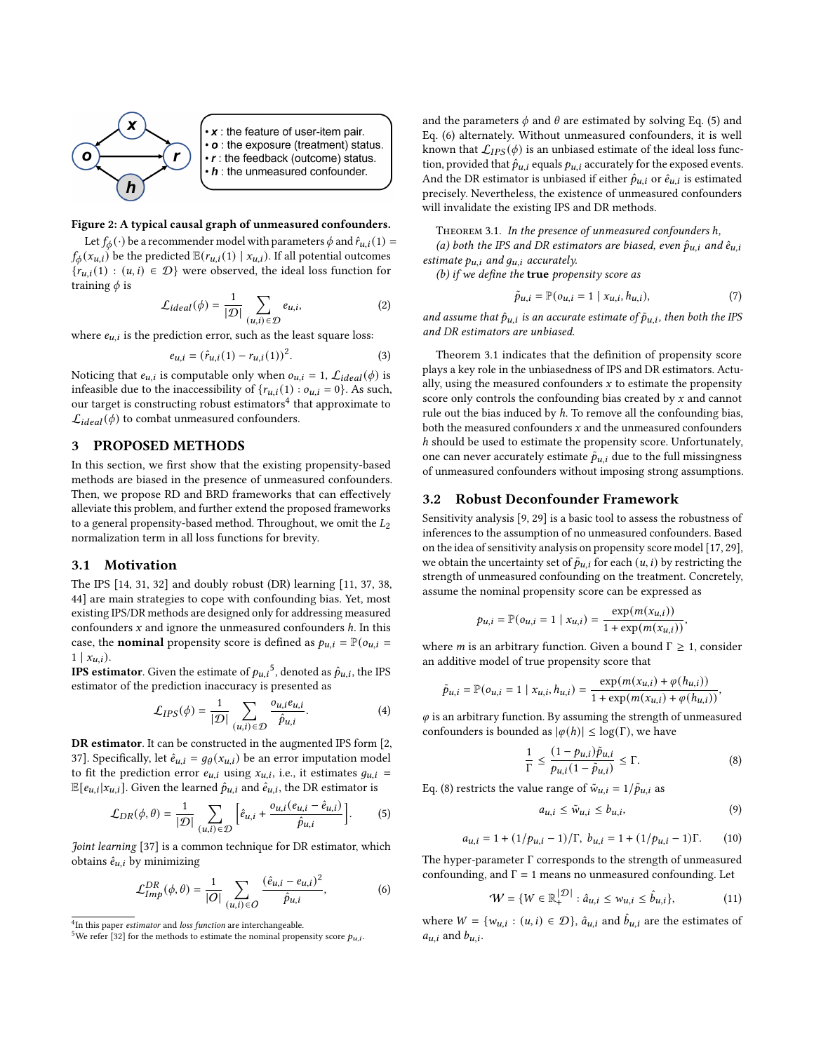<span id="page-2-1"></span>

 $\cdot x$  : the feature of user-item pair. • o : the exposure (treatment) status.  $\cdot$  r : the feedback (outcome) status.  $\cdot h$  : the unmeasured confounder.

#### Figure 2: A typical causal graph of unmeasured confounders.

Let  $f_{\phi}(\cdot)$  be a recommender model with parameters  $\phi$  and  $\hat{r}_{u,i}(1)$  =  $f_{\phi}(x_{u,i})$  be the predicted  $\mathbb{E}(r_{u,i}(1) | x_{u,i})$ . If all potential outcomes  ${r_{u,i}(1) : (u,i) \in \mathcal{D}}$  were observed, the ideal loss function for training  $\phi$  is

$$
\mathcal{L}_{ideal}(\phi) = \frac{1}{|\mathcal{D}|} \sum_{(u,i) \in \mathcal{D}} e_{u,i},
$$
 (2)

where  $\boldsymbol{e}_{u,i}$  is the prediction error, such as the least square loss:

<span id="page-2-9"></span>
$$
e_{u,i} = (\hat{r}_{u,i}(1) - r_{u,i}(1))^2.
$$
 (3)

Noticing that  $e_{u,i}$  is computable only when  $o_{u,i} = 1$ ,  $\mathcal{L}_{ideal}(\phi)$  is infeasible due to the inaccessibility of  ${r_{u,i}(1) : o_{u,i} = 0}$ . As such, our target is constructing robust estimators<sup>[4](#page-2-2)</sup> that approximate to  $\mathcal{L}_{ideal}(\phi)$  to combat unmeasured confounders.

# 3 PROPOSED METHODS

In this section, we first show that the existing propensity-based methods are biased in the presence of unmeasured confounders. Then, we propose RD and BRD frameworks that can effectively alleviate this problem, and further extend the proposed frameworks to a general propensity-based method. Throughout, we omit the  $L_2$ normalization term in all loss functions for brevity.

#### <span id="page-2-0"></span>3.1 Motivation

The IPS [\[14,](#page-8-25) [31,](#page-8-26) [32\]](#page-8-11) and doubly robust (DR) learning [\[11,](#page-8-27) [37,](#page-8-12) [38,](#page-8-28) [44\]](#page-8-29) are main strategies to cope with confounding bias. Yet, most existing IPS/DR methods are designed only for addressing measured confounders  $x$  and ignore the unmeasured confounders  $h$ . In this case, the **nominal** propensity score is defined as  $p_{u,i} = \mathbb{P}(o_{u,i})$  $1 \mid x_{u,i}).$ 

**IPS estimator**. Given the estimate of  $p_{u,i}^5$  $p_{u,i}^5$ , denoted as  $\hat{p}_{u,i}$ , the IPS estimator of the prediction inaccuracy is presented as

<span id="page-2-10"></span>
$$
\mathcal{L}_{IPS}(\phi) = \frac{1}{|\mathcal{D}|} \sum_{(u,i) \in \mathcal{D}} \frac{o_{u,i} e_{u,i}}{\hat{p}_{u,i}}.
$$
 (4)

DR estimator. It can be constructed in the augmented IPS form [\[2,](#page-8-30) [37\]](#page-8-12). Specifically, let  $\hat{e}_{u,i} = g_{\theta}(x_{u,i})$  be an error imputation model to fit the prediction error  $e_{u,i}$  using  $x_{u,i}$ , i.e., it estimates  $g_{u,i}$  =  $\mathbb{E}[e_{u,i}|x_{u,i}]$ . Given the learned  $\hat{p}_{u,i}$  and  $\hat{e}_{u,i}$ , the DR estimator is

$$
\mathcal{L}_{DR}(\phi,\theta) = \frac{1}{|\mathcal{D}|} \sum_{(u,i)\in\mathcal{D}} \left[ \hat{e}_{u,i} + \frac{o_{u,i}(e_{u,i} - \hat{e}_{u,i})}{\hat{p}_{u,i}} \right].
$$
 (5)

Joint learning [\[37\]](#page-8-12) is a common technique for DR estimator, which obtains  $\hat{e}_{u,i}$  by minimizing

<span id="page-2-5"></span>
$$
\mathcal{L}_{Imp}^{DR}(\phi,\theta) = \frac{1}{|O|} \sum_{(u,i)\in O} \frac{(\hat{e}_{u,i} - e_{u,i})^2}{\hat{p}_{u,i}},
$$
(6)

and the parameters  $\phi$  and  $\theta$  are estimated by solving Eq. [\(5\)](#page-2-4) and Eq. [\(6\)](#page-2-5) alternately. Without unmeasured confounders, it is well known that  $\mathcal{L}_{IPS}(\phi)$  is an unbiased estimate of the ideal loss function, provided that  $\hat{p}_{u,i}$  equals  $p_{u,i}$  accurately for the exposed events. And the DR estimator is unbiased if either  $\hat{p}_{u,i}$  or  $\hat{e}_{u,i}$  is estimated precisely. Nevertheless, the existence of unmeasured confounders will invalidate the existing IPS and DR methods.

Theorem 3.1. In the presence of unmeasured confounders ℎ,

(a) both the IPS and DR estimators are biased, even  $\hat{p}_{u,i}$  and  $\hat{e}_{u,i}$ estimate  $p_{u,i}$  and  $g_{u,i}$  accurately.

(b) if we define the true propensity score as

$$
\tilde{p}_{u,i} = \mathbb{P}(o_{u,i} = 1 \mid x_{u,i}, h_{u,i}),\tag{7}
$$

and assume that  $\hat{p}_{u,i}$  is an accurate estimate of  $\tilde{p}_{u,i}$ , then both the IPS and DR estimators are unbiased.

Theorem 3.1 indicates that the definition of propensity score plays a key role in the unbiasedness of IPS and DR estimators. Actually, using the measured confounders  $x$  to estimate the propensity score only controls the confounding bias created by  $x$  and cannot rule out the bias induced by  $h$ . To remove all the confounding bias, both the measured confounders  $x$  and the unmeasured confounders ℎ should be used to estimate the propensity score. Unfortunately, one can never accurately estimate  $\tilde{p}_{u,i}$  due to the full missingness of unmeasured confounders without imposing strong assumptions.

#### 3.2 Robust Deconfounder Framework

Sensitivity analysis [\[9,](#page-8-20) [29\]](#page-8-21) is a basic tool to assess the robustness of inferences to the assumption of no unmeasured confounders. Based on the idea of sensitivity analysis on propensity score model [\[17,](#page-8-19) [29\]](#page-8-21), we obtain the uncertainty set of  $\tilde{p}_{u,i}$  for each  $(u,i)$  by restricting the strength of unmeasured confounding on the treatment. Concretely, assume the nominal propensity score can be expressed as

$$
p_{u,i} = \mathbb{P}(o_{u,i} = 1 | x_{u,i}) = \frac{\exp(m(x_{u,i}))}{1 + \exp(m(x_{u,i}))},
$$

where *m* is an arbitrary function. Given a bound  $\Gamma \geq 1$ , consider an additive model of true propensity score that

$$
\tilde{p}_{u,i} = \mathbb{P}(o_{u,i} = 1 \mid x_{u,i}, h_{u,i}) = \frac{\exp(m(x_{u,i}) + \varphi(h_{u,i}))}{1 + \exp(m(x_{u,i}) + \varphi(h_{u,i}))},
$$

 $\varphi$  is an arbitrary function. By assuming the strength of unmeasured confounders is bounded as  $|\varphi(h)| \leq \log(\Gamma)$ , we have

<span id="page-2-6"></span>
$$
\frac{1}{\Gamma} \le \frac{(1 - p_{u,i})\tilde{p}_{u,i}}{p_{u,i}(1 - \tilde{p}_{u,i})} \le \Gamma.
$$
\n(8)

<span id="page-2-4"></span>Eq. [\(8\)](#page-2-6) restricts the value range of  $\tilde{w}_{u,i} = 1/\tilde{p}_{u,i}$  as

$$
a_{u,i} \le \tilde{w}_{u,i} \le b_{u,i},\tag{9}
$$

$$
a_{u,i} = 1 + (1/p_{u,i} - 1)/\Gamma, \ b_{u,i} = 1 + (1/p_{u,i} - 1)\Gamma.
$$
 (10)

The hyper-parameter Γ corresponds to the strength of unmeasured confounding, and  $\Gamma = 1$  means no unmeasured confounding. Let

<span id="page-2-7"></span> $\sim$ 

<span id="page-2-8"></span>
$$
\mathcal{W} = \{ W \in \mathbb{R}_+^{|\mathcal{D}|} : \hat{a}_{u,i} \le w_{u,i} \le \hat{b}_{u,i} \},\tag{11}
$$

where  $W = \{w_{u,i} : (u,i) \in \mathcal{D}\}\$ ,  $\hat{a}_{u,i}$  and  $\hat{b}_{u,i}$  are the estimates of  $a_{u,i}$  and  $b_{u,i}$ .

<span id="page-2-2"></span><sup>&</sup>lt;sup>4</sup>In this paper *estimator* and *loss function* are interchangeable.

<span id="page-2-3"></span><sup>&</sup>lt;sup>5</sup>We refer [\[32\]](#page-8-11) for the methods to estimate the nominal propensity score  $p_{u,i}$ .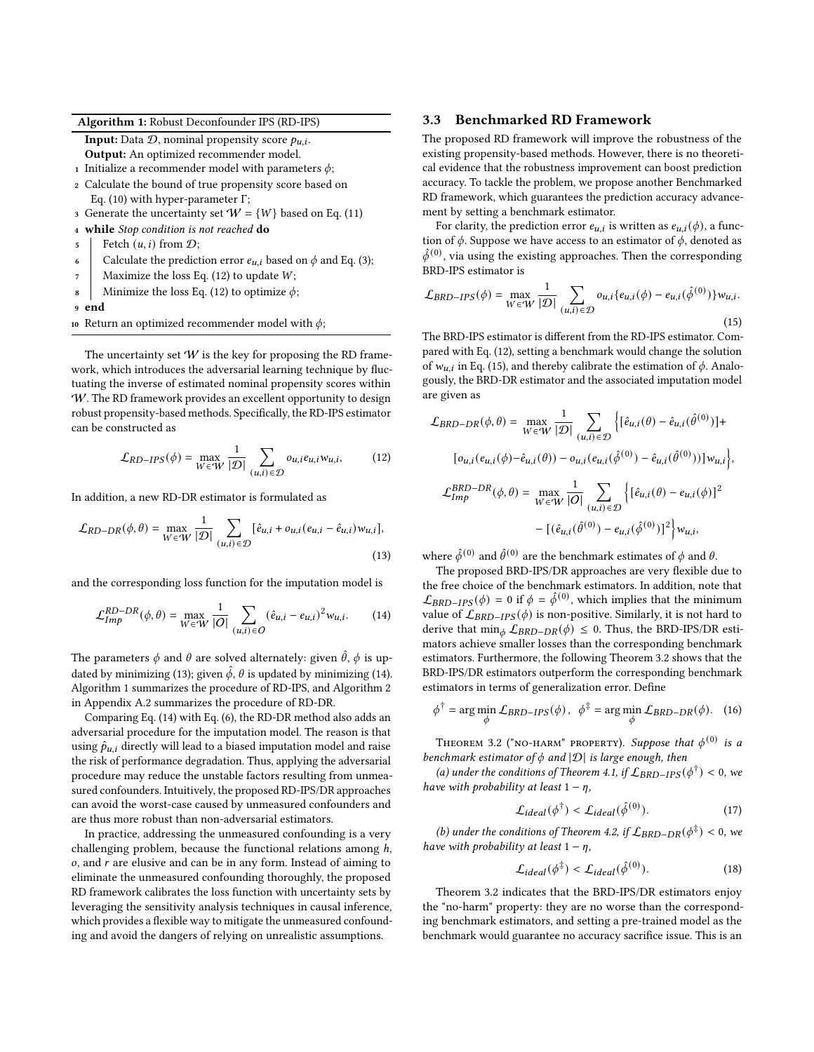Algorithm 1: Robust Deconfounder IPS (RD-IPS)

<span id="page-3-3"></span>**Input:** Data  $D$ , nominal propensity score  $p_{u,i}$ . Output: An optimized recommender model.

- 1 Initialize a recommender model with parameters  $\phi$ ;
- <sup>2</sup> Calculate the bound of true propensity score based on Eq. [\(10\)](#page-2-7) with hyper-parameter Γ;
- 3 Generate the uncertainty set  $W = \{W\}$  based on Eq. [\(11\)](#page-2-8)
- <sup>4</sup> while Stop condition is not reached do
- $\mathfrak{s}$  | Fetch  $(u, i)$  from  $\mathcal{D}$ ;
- 6 Calculate the prediction error  $e_{u,i}$  based on  $\phi$  and Eq. [\(3\)](#page-2-9);
- 7 | Maximize the loss Eq. [\(12\)](#page-3-0) to update  $W$ ;
- 8 Minimize the loss Eq. [\(12\)](#page-3-0) to optimize  $\phi$ ;
- end
- 10 Return an optimized recommender model with  $\phi$ ;

The uncertainty set  $W$  is the key for proposing the RD framework, which introduces the adversarial learning technique by fluctuating the inverse of estimated nominal propensity scores within W. The RD framework provides an excellent opportunity to design robust propensity-based methods. Specifically, the RD-IPS estimator can be constructed as

<span id="page-3-0"></span>
$$
\mathcal{L}_{RD-IPS}(\phi) = \max_{W \in \mathcal{W}} \frac{1}{|\mathcal{D}|} \sum_{(u,i) \in \mathcal{D}} o_{u,i} e_{u,i} w_{u,i}, \quad (12)
$$

In addition, a new RD-DR estimator is formulated as

$$
\mathcal{L}_{RD-DR}(\phi,\theta) = \max_{W \in W} \frac{1}{|\mathcal{D}|} \sum_{(u,i) \in \mathcal{D}} [\hat{e}_{u,i} + o_{u,i}(e_{u,i} - \hat{e}_{u,i}) w_{u,i}],
$$
\n(13)

and the corresponding loss function for the imputation model is

<span id="page-3-2"></span>
$$
\mathcal{L}_{Imp}^{RD-DR}(\phi,\theta) = \max_{W \in \mathcal{W}} \frac{1}{|O|} \sum_{(u,i) \in O} (\hat{e}_{u,i} - e_{u,i})^2 w_{u,i}.
$$
 (14)

The parameters  $\phi$  and  $\theta$  are solved alternately: given  $\hat{\theta}$ ,  $\phi$  is up-dated by minimizing [\(13\)](#page-3-1); given  $\hat{\phi}$ ,  $\theta$  is updated by minimizing [\(14\)](#page-3-2). Algorithm [1](#page-3-3) summarizes the procedure of RD-IPS, and Algorithm [2](#page-10-1) in Appendix [A.2](#page-10-2) summarizes the procedure of RD-DR.

Comparing Eq. [\(14\)](#page-3-2) with Eq. [\(6\)](#page-2-5), the RD-DR method also adds an adversarial procedure for the imputation model. The reason is that using  $\hat{p}_{u,i}$  directly will lead to a biased imputation model and raise the risk of performance degradation. Thus, applying the adversarial procedure may reduce the unstable factors resulting from unmeasured confounders. Intuitively, the proposed RD-IPS/DR approaches can avoid the worst-case caused by unmeasured confounders and are thus more robust than non-adversarial estimators.

In practice, addressing the unmeasured confounding is a very challenging problem, because the functional relations among  $h$ ,  $o$ , and  $r$  are elusive and can be in any form. Instead of aiming to eliminate the unmeasured confounding thoroughly, the proposed RD framework calibrates the loss function with uncertainty sets by leveraging the sensitivity analysis techniques in causal inference, which provides a flexible way to mitigate the unmeasured confounding and avoid the dangers of relying on unrealistic assumptions.

## 3.3 Benchmarked RD Framework

The proposed RD framework will improve the robustness of the existing propensity-based methods. However, there is no theoretical evidence that the robustness improvement can boost prediction accuracy. To tackle the problem, we propose another Benchmarked RD framework, which guarantees the prediction accuracy advancement by setting a benchmark estimator.

For clarity, the prediction error  $e_{u,i}$  is written as  $e_{u,i}(\phi)$ , a function of  $\phi$ . Suppose we have access to an estimator of  $\phi$ , denoted as  $\hat{\phi}^{(0)}$ , via using the existing approaches. Then the corresponding BRD-IPS estimator is

<span id="page-3-4"></span>
$$
\mathcal{L}_{BRD-IPS}(\phi) = \max_{W \in \mathcal{W}} \frac{1}{|\mathcal{D}|} \sum_{(u,i) \in \mathcal{D}} o_{u,i} \{e_{u,i}(\phi) - e_{u,i}(\hat{\phi}^{(0)})\} w_{u,i}.
$$
\n(15)

The BRD-IPS estimator is different from the RD-IPS estimator. Compared with Eq. [\(12\)](#page-3-0), setting a benchmark would change the solution of  $w_{u,i}$  in Eq. [\(15\)](#page-3-4), and thereby calibrate the estimation of  $\phi$ . Analogously, the BRD-DR estimator and the associated imputation model are given as

$$
\mathcal{L}_{BRD-DR}(\phi,\theta) = \max_{W \in \mathcal{W}} \frac{1}{|\mathcal{D}|} \sum_{(u,i) \in \mathcal{D}} \left\{ [\hat{e}_{u,i}(\theta) - \hat{e}_{u,i}(\hat{\theta}^{(0)})] +
$$

$$
[o_{u,i}(e_{u,i}(\phi) - \hat{e}_{u,i}(\theta)) - o_{u,i}(e_{u,i}(\hat{\phi}^{(0)}) - \hat{e}_{u,i}(\hat{\theta}^{(0)}))]w_{u,i} \right\},\
$$

$$
\mathcal{L}_{Imp}^{BRD-DR}(\phi,\theta) = \max_{W \in \mathcal{W}} \frac{1}{|O|} \sum_{(u,i) \in \mathcal{D}} \left\{ [\hat{e}_{u,i}(\theta) - e_{u,i}(\phi)]^2 - [(\hat{e}_{u,i}(\hat{\theta}^{(0)}) - e_{u,i}(\hat{\phi}^{(0)})]^2 \right\} w_{u,i},
$$

<span id="page-3-1"></span>where  $\hat{\phi}^{(0)}$  and  $\hat{\theta}^{(0)}$  are the benchmark estimates of  $\phi$  and  $\theta$ .

The proposed BRD-IPS/DR approaches are very flexible due to the free choice of the benchmark estimators. In addition, note that  $\mathcal{L}_{BRD-IPS}(\phi) = 0$  if  $\phi = \hat{\phi}^{(0)}$ , which implies that the minimum value of  $\mathcal{L}_{BRD-IPS}(\phi)$  is non-positive. Similarly, it is not hard to derive that  $\min_{\phi} \mathcal{L}_{BRD-DR}(\phi) \leq 0$ . Thus, the BRD-IPS/DR estimators achieve smaller losses than the corresponding benchmark estimators. Furthermore, the following Theorem 3.2 shows that the BRD-IPS/DR estimators outperform the corresponding benchmark estimators in terms of generalization error. Define

$$
\phi^{\dagger} = \arg\min_{\phi} \mathcal{L}_{BRD-IPS}(\phi), \quad \phi^{\ddagger} = \arg\min_{\phi} \mathcal{L}_{BRD-DR}(\phi). \quad (16)
$$

THEOREM 3.2 ("NO-HARM" PROPERTY). Suppose that  $\phi^{(0)}$  is a benchmark estimator of  $\phi$  and  $|\mathcal{D}|$  is large enough, then

(a) under the conditions of Theorem 4.1, if  $\mathcal{L}_{\rm BRD-IPS}(\phi^{\dagger}) < 0$ , we have with probability at least  $1 - \eta$ ,

<span id="page-3-5"></span>
$$
\mathcal{L}_{ideal}(\phi^{\dagger}) < \mathcal{L}_{ideal}(\hat{\phi}^{(0)}). \tag{17}
$$

(b) under the conditions of Theorem 4.2, if  $\mathcal{L}_{BRD-DR}(\phi^{\ddagger}) < 0$ , we have with probability at least  $1 - \eta$ ,

$$
\mathcal{L}_{ideal}(\phi^{\ddagger}) < \mathcal{L}_{ideal}(\hat{\phi}^{(0)}). \tag{18}
$$

Theorem 3.2 indicates that the BRD-IPS/DR estimators enjoy the "no-harm" property: they are no worse than the corresponding benchmark estimators, and setting a pre-trained model as the benchmark would guarantee no accuracy sacrifice issue. This is an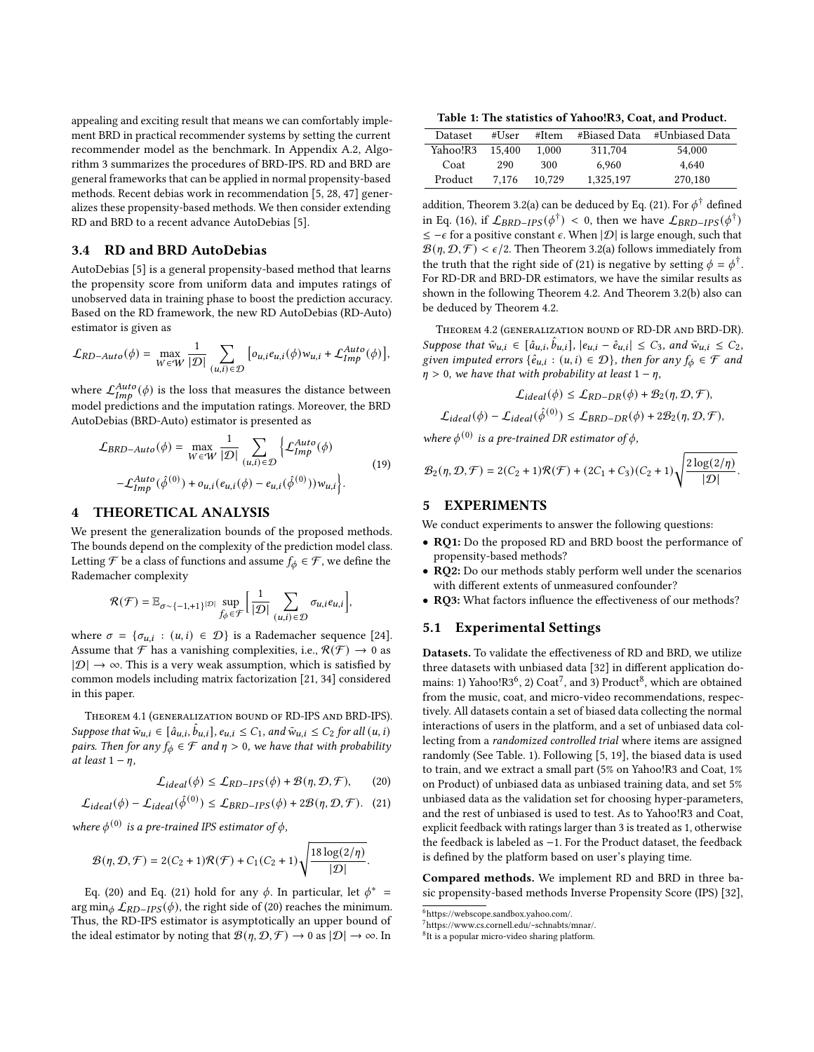appealing and exciting result that means we can comfortably implement BRD in practical recommender systems by setting the current recommender model as the benchmark. In Appendix [A.2,](#page-10-2) Algorithm [3](#page-10-3) summarizes the procedures of BRD-IPS. RD and BRD are general frameworks that can be applied in normal propensity-based methods. Recent debias work in recommendation [\[5,](#page-8-10) [28,](#page-8-31) [47\]](#page-8-32) generalizes these propensity-based methods. We then consider extending RD and BRD to a recent advance AutoDebias [\[5\]](#page-8-10).

### 3.4 RD and BRD AutoDebias

AutoDebias [\[5\]](#page-8-10) is a general propensity-based method that learns the propensity score from uniform data and imputes ratings of unobserved data in training phase to boost the prediction accuracy. Based on the RD framework, the new RD AutoDebias (RD-Auto) estimator is given as

$$
\mathcal{L}_{RD-Auto}(\phi) = \max_{W \in \mathcal{W}} \frac{1}{|\mathcal{D}|} \sum_{(u,i) \in \mathcal{D}} \left[ o_{u,i} e_{u,i}(\phi) w_{u,i} + \mathcal{L}^{Auto}_{Imp}(\phi) \right],
$$

where  $\mathcal{L}_{Imb}^{Auto}(\phi)$  is the loss that measures the distance between model predictions and the imputation ratings. Moreover, the BRD AutoDebias (BRD-Auto) estimator is presented as

$$
\mathcal{L}_{BRD-Auto}(\phi) = \max_{W \in W} \frac{1}{|\mathcal{D}|} \sum_{(u,i) \in \mathcal{D}} \left\{ \mathcal{L}_{Imp}^{Auto}(\phi) - \mathcal{L}_{Imp}^{Auto}(\hat{\phi}^{(0)}) + o_{u,i}(e_{u,i}(\phi) - e_{u,i}(\hat{\phi}^{(0)}))w_{u,i} \right\}.
$$
\n(19)

#### 4 THEORETICAL ANALYSIS

We present the generalization bounds of the proposed methods. The bounds depend on the complexity of the prediction model class. Letting  $\mathcal F$  be a class of functions and assume  $f_{\phi} \in \mathcal F$ , we define the Rademacher complexity

$$
\mathcal{R}(\mathcal{F}) = \mathbb{E}_{\sigma \sim \{-1, +1\}} |\mathcal{D}| \sup_{\hat{f}_{\phi} \in \mathcal{F}} \left[ \frac{1}{|\mathcal{D}|} \sum_{(u,i) \in \mathcal{D}} \sigma_{u,i} e_{u,i} \right],
$$

where  $\sigma = {\sigma_{u,i} : (u,i) \in \mathcal{D}}$  is a Rademacher sequence [\[24\]](#page-8-33). Assume that  $\mathcal F$  has a vanishing complexities, i.e.,  $\mathcal R(\mathcal F)\to 0$  as  $|\mathcal{D}| \to \infty$ . This is a very weak assumption, which is satisfied by common models including matrix factorization [\[21,](#page-8-34) [34\]](#page-8-35) considered in this paper.

Theorem 4.1 (generalization bound of RD-IPS and BRD-IPS). Suppose that  $\tilde{w}_{u,i} \in [\hat{a}_{u,i}, \hat{b}_{u,i}]$ ,  $e_{u,i} \leq C_1$ , and  $\tilde{w}_{u,i} \leq C_2$  for all  $(u,i)$ pairs. Then for any  $f_{\phi} \in \mathcal{F}$  and  $\eta > 0$ , we have that with probability at least  $1 - \eta$ ,

$$
\mathcal{L}_{ideal}(\phi) \le \mathcal{L}_{RD-IPS}(\phi) + \mathcal{B}(\eta, \mathcal{D}, \mathcal{F}), \qquad (20)
$$

$$
\mathcal{L}_{ideal}(\phi) - \mathcal{L}_{ideal}(\hat{\phi}^{(0)}) \le \mathcal{L}_{BRD-IPS}(\phi) + 2\mathcal{B}(\eta, \mathcal{D}, \mathcal{F}). \tag{21}
$$

where  $\phi^{(0)}$  is a pre-trained IPS estimator of  $\phi$ ,

$$
\mathcal{B}(\eta,\mathcal{D},\mathcal{F})=2(C_2+1)\mathcal{R}(\mathcal{F})+C_1(C_2+1)\sqrt{\frac{18\log(2/\eta)}{|\mathcal{D}|}}.
$$

Eq. [\(20\)](#page-4-0) and Eq. [\(21\)](#page-4-1) hold for any  $\phi$ . In particular, let  $\phi^*$  = arg min<sub> $\phi$ </sub>  $\mathcal{L}_{RD-IPS}(\phi)$ , the right side of [\(20\)](#page-4-0) reaches the minimum. Thus, the RD-IPS estimator is asymptotically an upper bound of the ideal estimator by noting that  $\mathcal{B}(\eta, \mathcal{D}, \mathcal{F}) \to 0$  as  $|\mathcal{D}| \to \infty$ . In

<span id="page-4-5"></span>Table 1: The statistics of Yahoo!R3, Coat, and Product.

| <b>Dataset</b> | #User  | #Item  | #Biased Data | #Unbiased Data |
|----------------|--------|--------|--------------|----------------|
| Yahoo!R3       | 15.400 | 1.000  | 311.704      | 54,000         |
| Coat           | 290    | 300    | 6.960        | 4.640          |
| Product        | 7.176  | 10.729 | 1.325.197    | 270,180        |

addition, Theorem 3.2(a) can be deduced by Eq. [\(21\)](#page-4-1). For  $\phi^{\dagger}$  defined in Eq. [\(16\)](#page-3-5), if  $\mathcal{L}_{BRD-IPS}(\phi^{\dagger}) < 0$ , then we have  $\mathcal{L}_{BRD-IPS}(\phi^{\dagger})$  $\leq -\epsilon$  for a positive constant  $\epsilon$ . When  $|\mathcal{D}|$  is large enough, such that  $\mathcal{B}(\eta, \mathcal{D}, \mathcal{F}) < \epsilon/2$ . Then Theorem 3.2(a) follows immediately from the truth that the right side of [\(21\)](#page-4-1) is negative by setting  $\phi = \phi^{\dagger}$ . For RD-DR and BRD-DR estimators, we have the similar results as shown in the following Theorem 4.2. And Theorem 3.2(b) also can be deduced by Theorem 4.2.

Theorem 4.2 (generalization bound of RD-DR and BRD-DR). Suppose that  $\tilde{w}_{u,i} \in [\hat{a}_{u,i}, \hat{b}_{u,i}], |e_{u,i} - \hat{e}_{u,i}| \leq C_3$ , and  $\tilde{w}_{u,i} \leq C_2$ , given imputed errors  $\{\hat{e}_{u,i} : (u,i) \in \mathcal{D}\}\$ , then for any  $f_{\phi} \in \mathcal{F}$  and  $\eta > 0$ , we have that with probability at least  $1 - \eta$ ,

$$
\mathcal{L}_{ideal}(\phi) \leq \mathcal{L}_{RD-DR}(\phi) + \mathcal{B}_2(\eta, \mathcal{D}, \mathcal{F}),
$$
  

$$
\mathcal{L}_{ideal}(\phi) - \mathcal{L}_{ideal}(\hat{\phi}^{(0)}) \leq \mathcal{L}_{BRD-DR}(\phi) + 2\mathcal{B}_2(\eta, \mathcal{D}, \mathcal{F}),
$$

where  $\phi^{(0)}$  is a pre-trained DR estimator of  $\phi$ ,

$$
\mathcal{B}_2(\eta, \mathcal{D}, \mathcal{F}) = 2(C_2 + 1)\mathcal{R}(\mathcal{F}) + (2C_1 + C_3)(C_2 + 1)\sqrt{\frac{2\log(2/\eta)}{|\mathcal{D}|}}.
$$

#### 5 EXPERIMENTS

We conduct experiments to answer the following questions:

- RQ1: Do the proposed RD and BRD boost the performance of propensity-based methods?
- RQ2: Do our methods stably perform well under the scenarios with different extents of unmeasured confounder?
- RQ3: What factors influence the effectiveness of our methods?

## 5.1 Experimental Settings

Datasets. To validate the effectiveness of RD and BRD, we utilize three datasets with unbiased data [\[32\]](#page-8-11) in different application domains: 1) Yahoo! $R3^6$  $R3^6$ , 2) Coat<sup>[7](#page-4-3)</sup>, and 3) Product<sup>[8](#page-4-4)</sup>, which are obtained from the music, coat, and micro-video recommendations, respectively. All datasets contain a set of biased data collecting the normal interactions of users in the platform, and a set of unbiased data collecting from a randomized controlled trial where items are assigned randomly (See Table. [1\)](#page-4-5). Following [\[5,](#page-8-10) [19\]](#page-8-36), the biased data is used to train, and we extract a small part (5% on Yahoo!R3 and Coat, 1% on Product) of unbiased data as unbiased training data, and set 5% unbiased data as the validation set for choosing hyper-parameters, and the rest of unbiased is used to test. As to Yahoo!R3 and Coat, explicit feedback with ratings larger than 3 is treated as 1, otherwise the feedback is labeled as −1. For the Product dataset, the feedback is defined by the platform based on user's playing time.

<span id="page-4-1"></span><span id="page-4-0"></span>Compared methods. We implement RD and BRD in three basic propensity-based methods Inverse Propensity Score (IPS) [\[32\]](#page-8-11),

<span id="page-4-3"></span><span id="page-4-2"></span><sup>6</sup><https://webscope.sandbox.yahoo.com/.>

<sup>7</sup><https://www.cs.cornell.edu/~schnabts/mnar/.>

<span id="page-4-4"></span><sup>&</sup>lt;sup>8</sup>It is a popular micro-video sharing platform.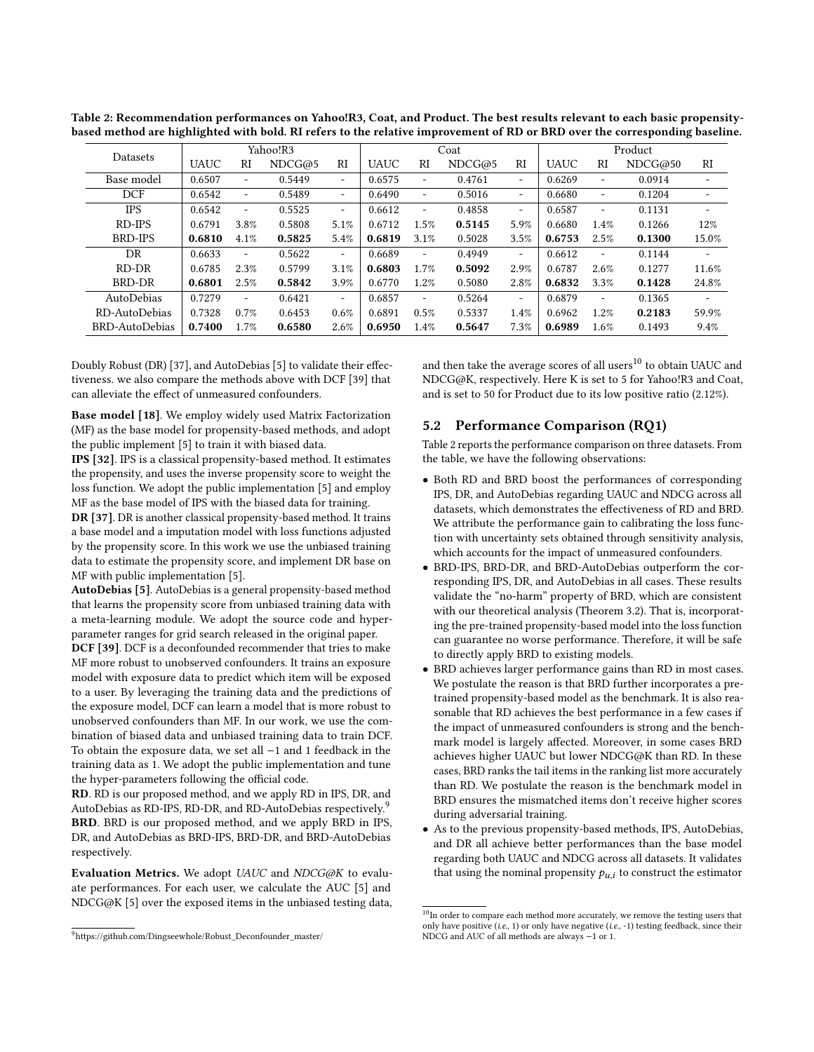| <b>Datasets</b> | Yahoo!R3    |                          |        | Coat                     |             |                          | Product |                          |             |                          |         |                          |
|-----------------|-------------|--------------------------|--------|--------------------------|-------------|--------------------------|---------|--------------------------|-------------|--------------------------|---------|--------------------------|
|                 | <b>UAUC</b> | RI                       | NDCG@5 | RI                       | <b>UAUC</b> | $_{\rm RI}$              | NDCG@5  | RI                       | <b>UAUC</b> | RI                       | NDCG@50 | $_{\rm RI}$              |
| Base model      | 0.6507      | ٠                        | 0.5449 | $\overline{\phantom{a}}$ | 0.6575      | ٠                        | 0.4761  | $\overline{\phantom{a}}$ | 0.6269      | $\overline{\phantom{0}}$ | 0.0914  | ۰                        |
| <b>DCF</b>      | 0.6542      | ۰                        | 0.5489 | $\overline{\phantom{a}}$ | 0.6490      | ۰                        | 0.5016  | ۰                        | 0.6680      | -                        | 0.1204  | ٠                        |
| <b>IPS</b>      | 0.6542      | $\overline{\phantom{a}}$ | 0.5525 | $\overline{\phantom{a}}$ | 0.6612      | $\overline{\phantom{a}}$ | 0.4858  | $\overline{\phantom{a}}$ | 0.6587      | $\overline{\phantom{a}}$ | 0.1131  | $\overline{\phantom{0}}$ |
| RD-IPS          | 0.6791      | 3.8%                     | 0.5808 | 5.1%                     | 0.6712      | 1.5%                     | 0.5145  | 5.9%                     | 0.6680      | 1.4%                     | 0.1266  | 12%                      |
| BRD-IPS         | 0.6810      | 4.1%                     | 0.5825 | 5.4%                     | 0.6819      | 3.1%                     | 0.5028  | 3.5%                     | 0.6753      | 2.5%                     | 0.1300  | 15.0%                    |
| DR              | 0.6633      | $\overline{\phantom{m}}$ | 0.5622 | $\overline{\phantom{a}}$ | 0.6689      | $\overline{\phantom{m}}$ | 0.4949  | $\overline{\phantom{a}}$ | 0.6612      | -                        | 0.1144  | ٠                        |
| RD-DR           | 0.6785      | 2.3%                     | 0.5799 | 3.1%                     | 0.6803      | 1.7%                     | 0.5092  | 2.9%                     | 0.6787      | 2.6%                     | 0.1277  | 11.6%                    |
| BRD-DR          | 0.6801      | 2.5%                     | 0.5842 | 3.9%                     | 0.6770      | 1.2%                     | 0.5080  | 2.8%                     | 0.6832      | 3.3%                     | 0.1428  | 24.8%                    |
| AutoDebias      | 0.7279      | ٠                        | 0.6421 | $\overline{a}$           | 0.6857      | ٠                        | 0.5264  | $\overline{\phantom{a}}$ | 0.6879      | ۰.                       | 0.1365  | $\overline{\phantom{a}}$ |
| RD-AutoDebias   | 0.7328      | 0.7%                     | 0.6453 | 0.6%                     | 0.6891      | 0.5%                     | 0.5337  | 1.4%                     | 0.6962      | 1.2%                     | 0.2183  | 59.9%                    |
| BRD-AutoDebias  | 0.7400      | 1.7%                     | 0.6580 | 2.6%                     | 0.6950      | $1.4\%$                  | 0.5647  | 7.3%                     | 0.6989      | $1.6\%$                  | 0.1493  | 9.4%                     |

<span id="page-5-2"></span>Table 2: Recommendation performances on Yahoo!R3, Coat, and Product. The best results relevant to each basic propensitybased method are highlighted with bold. RI refers to the relative improvement of RD or BRD over the corresponding baseline.

Doubly Robust (DR) [\[37\]](#page-8-12), and AutoDebias [\[5\]](#page-8-10) to validate their effectiveness. we also compare the methods above with DCF [\[39\]](#page-8-14) that can alleviate the effect of unmeasured confounders.

Base model [\[18\]](#page-8-37). We employ widely used Matrix Factorization (MF) as the base model for propensity-based methods, and adopt the public implement [\[5\]](#page-8-10) to train it with biased data.

IPS [\[32\]](#page-8-11). IPS is a classical propensity-based method. It estimates the propensity, and uses the inverse propensity score to weight the loss function. We adopt the public implementation [\[5\]](#page-8-10) and employ MF as the base model of IPS with the biased data for training.

DR [\[37\]](#page-8-12). DR is another classical propensity-based method. It trains a base model and a imputation model with loss functions adjusted by the propensity score. In this work we use the unbiased training data to estimate the propensity score, and implement DR base on MF with public implementation [\[5\]](#page-8-10).

AutoDebias [\[5\]](#page-8-10). AutoDebias is a general propensity-based method that learns the propensity score from unbiased training data with a meta-learning module. We adopt the source code and hyperparameter ranges for grid search released in the original paper.

DCF [\[39\]](#page-8-14). DCF is a deconfounded recommender that tries to make MF more robust to unobserved confounders. It trains an exposure model with exposure data to predict which item will be exposed to a user. By leveraging the training data and the predictions of the exposure model, DCF can learn a model that is more robust to unobserved confounders than MF. In our work, we use the combination of biased data and unbiased training data to train DCF. To obtain the exposure data, we set all −1 and 1 feedback in the training data as 1. We adopt the public implementation and tune the hyper-parameters following the official code.

RD. RD is our proposed method, and we apply RD in IPS, DR, and AutoDebias as RD-IPS, RD-DR, and RD-AutoDebias respectively.<sup>[9](#page-5-0)</sup> BRD. BRD is our proposed method, and we apply BRD in IPS, DR, and AutoDebias as BRD-IPS, BRD-DR, and BRD-AutoDebias respectively.

Evaluation Metrics. We adopt UAUC and NDCG@K to evaluate performances. For each user, we calculate the AUC [\[5\]](#page-8-10) and NDCG@K [\[5\]](#page-8-10) over the exposed items in the unbiased testing data, and then take the average scores of all users<sup>[10](#page-5-1)</sup> to obtain UAUC and NDCG@K, respectively. Here K is set to 5 for Yahoo!R3 and Coat, and is set to 50 for Product due to its low positive ratio (2.12%).

# 5.2 Performance Comparison (RQ1)

Table [2](#page-5-2) reports the performance comparison on three datasets. From the table, we have the following observations:

- Both RD and BRD boost the performances of corresponding IPS, DR, and AutoDebias regarding UAUC and NDCG across all datasets, which demonstrates the effectiveness of RD and BRD. We attribute the performance gain to calibrating the loss function with uncertainty sets obtained through sensitivity analysis, which accounts for the impact of unmeasured confounders.
- BRD-IPS, BRD-DR, and BRD-AutoDebias outperform the corresponding IPS, DR, and AutoDebias in all cases. These results validate the "no-harm" property of BRD, which are consistent with our theoretical analysis (Theorem 3.2). That is, incorporating the pre-trained propensity-based model into the loss function can guarantee no worse performance. Therefore, it will be safe to directly apply BRD to existing models.
- BRD achieves larger performance gains than RD in most cases. We postulate the reason is that BRD further incorporates a pretrained propensity-based model as the benchmark. It is also reasonable that RD achieves the best performance in a few cases if the impact of unmeasured confounders is strong and the benchmark model is largely affected. Moreover, in some cases BRD achieves higher UAUC but lower NDCG@K than RD. In these cases, BRD ranks the tail items in the ranking list more accurately than RD. We postulate the reason is the benchmark model in BRD ensures the mismatched items don't receive higher scores during adversarial training.
- As to the previous propensity-based methods, IPS, AutoDebias, and DR all achieve better performances than the base model regarding both UAUC and NDCG across all datasets. It validates that using the nominal propensity  $p_{u,i}$  to construct the estimator

<span id="page-5-0"></span><sup>9</sup>[https://github.com/Dingseewhole/Robust\\_Deconfounder\\_master/](https://github.com/Dingseewhole/Robust_Deconfounder_master/)

<span id="page-5-1"></span> $^{10}\mathrm{In}$  order to compare each method more accurately, we remove the testing users that only have positive (i.e., 1) or only have negative (i.e., -1) testing feedback, since their NDCG and AUC of all methods are always −1 or 1.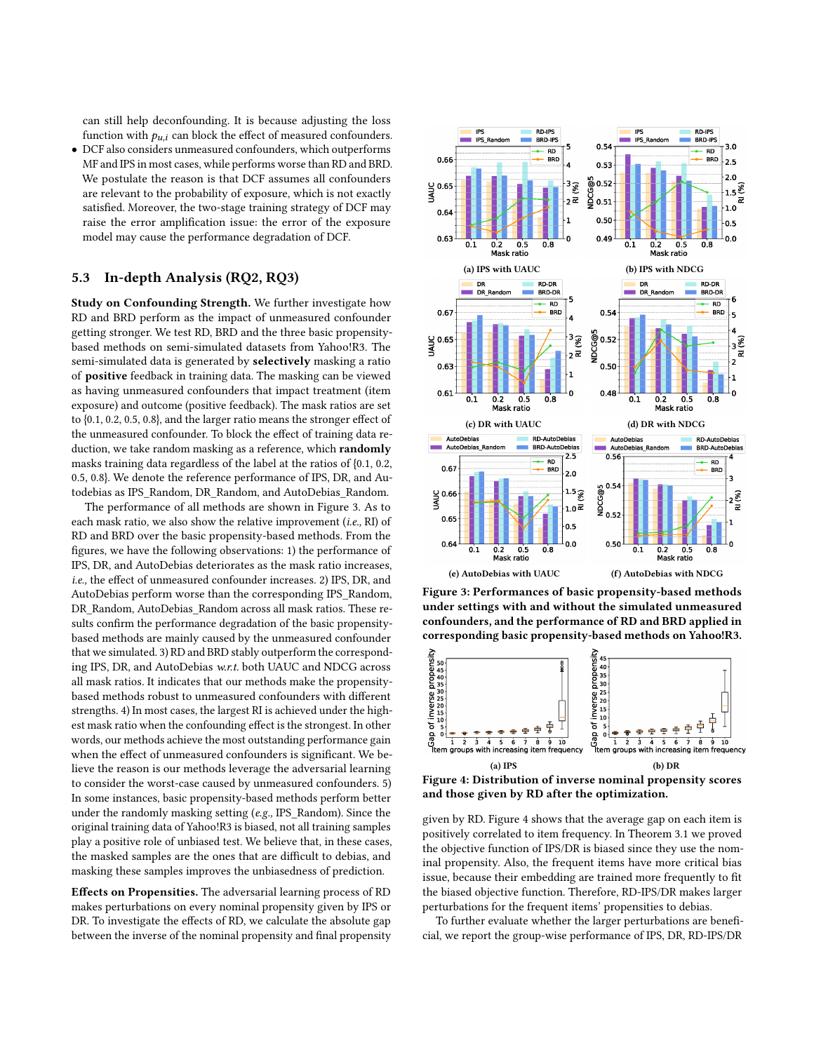can still help deconfounding. It is because adjusting the loss function with  $p_{u,i}$  can block the effect of measured confounders.

• DCF also considers unmeasured confounders, which outperforms MF and IPS in most cases, while performs worse than RD and BRD. We postulate the reason is that DCF assumes all confounders are relevant to the probability of exposure, which is not exactly satisfied. Moreover, the two-stage training strategy of DCF may raise the error amplification issue: the error of the exposure model may cause the performance degradation of DCF.

# 5.3 In-depth Analysis (RQ2, RQ3)

Study on Confounding Strength. We further investigate how RD and BRD perform as the impact of unmeasured confounder getting stronger. We test RD, BRD and the three basic propensitybased methods on semi-simulated datasets from Yahoo!R3. The semi-simulated data is generated by selectively masking a ratio of positive feedback in training data. The masking can be viewed as having unmeasured confounders that impact treatment (item exposure) and outcome (positive feedback). The mask ratios are set to {0.1, 0.2, 0.5, 0.8}, and the larger ratio means the stronger effect of the unmeasured confounder. To block the effect of training data reduction, we take random masking as a reference, which **randomly** masks training data regardless of the label at the ratios of {0.1, 0.2, 0.5, 0.8}. We denote the reference performance of IPS, DR, and Autodebias as IPS\_Random, DR\_Random, and AutoDebias\_Random.

The performance of all methods are shown in Figure [3.](#page-6-0) As to each mask ratio, we also show the relative improvement (i.e., RI) of RD and BRD over the basic propensity-based methods. From the figures, we have the following observations: 1) the performance of IPS, DR, and AutoDebias deteriorates as the mask ratio increases, i.e., the effect of unmeasured confounder increases. 2) IPS, DR, and AutoDebias perform worse than the corresponding IPS\_Random, DR\_Random, AutoDebias\_Random across all mask ratios. These results confirm the performance degradation of the basic propensitybased methods are mainly caused by the unmeasured confounder that we simulated. 3) RD and BRD stably outperform the corresponding IPS, DR, and AutoDebias w.r.t. both UAUC and NDCG across all mask ratios. It indicates that our methods make the propensitybased methods robust to unmeasured confounders with different strengths. 4) In most cases, the largest RI is achieved under the highest mask ratio when the confounding effect is the strongest. In other words, our methods achieve the most outstanding performance gain when the effect of unmeasured confounders is significant. We believe the reason is our methods leverage the adversarial learning to consider the worst-case caused by unmeasured confounders. 5) In some instances, basic propensity-based methods perform better under the randomly masking setting (e.g., IPS\_Random). Since the original training data of Yahoo!R3 is biased, not all training samples play a positive role of unbiased test. We believe that, in these cases, the masked samples are the ones that are difficult to debias, and masking these samples improves the unbiasedness of prediction.

Effects on Propensities. The adversarial learning process of RD makes perturbations on every nominal propensity given by IPS or DR. To investigate the effects of RD, we calculate the absolute gap between the inverse of the nominal propensity and final propensity

<span id="page-6-0"></span>

Figure 3: Performances of basic propensity-based methods under settings with and without the simulated unmeasured confounders, and the performance of RD and BRD applied in corresponding basic propensity-based methods on Yahoo!R3.

<span id="page-6-1"></span>

Figure 4: Distribution of inverse nominal propensity scores and those given by RD after the optimization.

given by RD. Figure [4](#page-6-1) shows that the average gap on each item is positively correlated to item frequency. In Theorem 3.1 we proved the objective function of IPS/DR is biased since they use the nominal propensity. Also, the frequent items have more critical bias issue, because their embedding are trained more frequently to fit the biased objective function. Therefore, RD-IPS/DR makes larger perturbations for the frequent items' propensities to debias.

To further evaluate whether the larger perturbations are beneficial, we report the group-wise performance of IPS, DR, RD-IPS/DR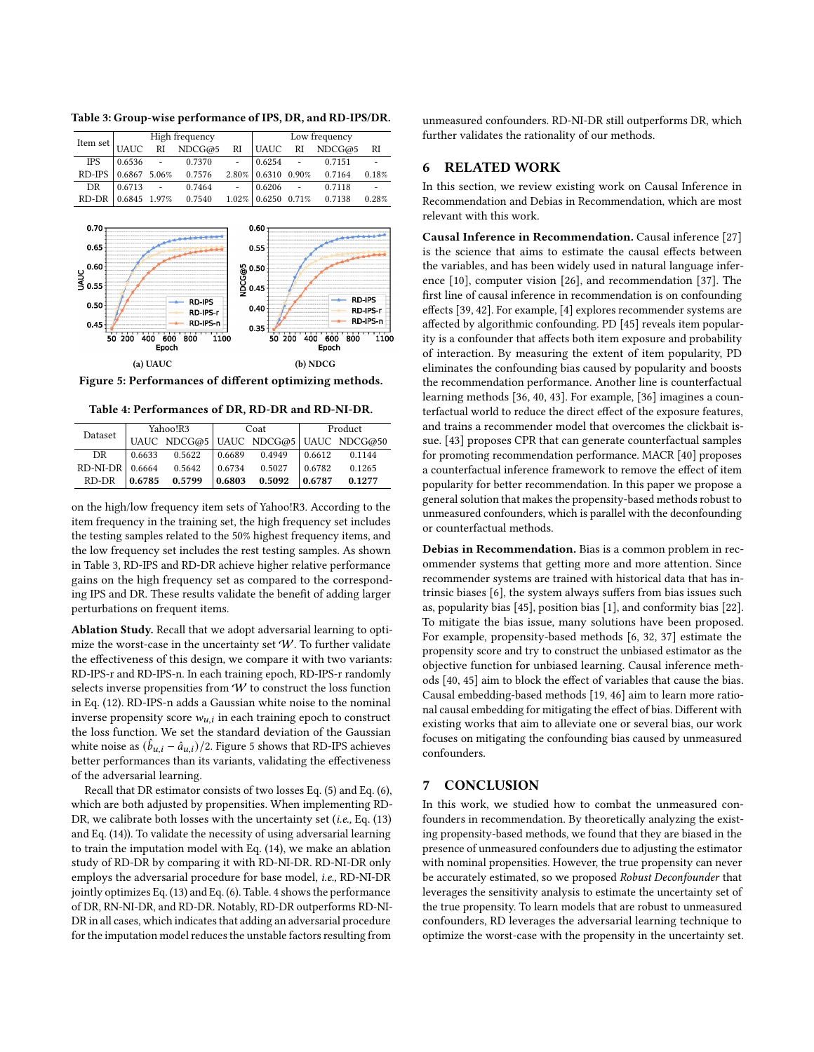|            |             |                          | High frequency |        | Low frequency |                          |        |       |  |
|------------|-------------|--------------------------|----------------|--------|---------------|--------------------------|--------|-------|--|
| Item set   | <b>UAUC</b> | <b>RI</b>                | NDCG@5         | RI     | <b>UAUC</b>   | RI                       | NDCG@5 | RI    |  |
| <b>IPS</b> | 0.6536      | $\overline{\phantom{a}}$ | 0.7370         | $\sim$ | 0.6254        | $\overline{\phantom{a}}$ | 0.7151 |       |  |
| RD-IPS     | 0.6867      | 5.06%                    | 0.7576         | 2.80%  | 0.6310        | 0.90%                    | 0.7164 | 0.18% |  |
| DR         | 0.6713      | $\sim$                   | 0.7464         | $\sim$ | 0.6206        | $\overline{a}$           | 0.7118 |       |  |
| RD-DR      | 0.6845      | 1.97%                    | 0.7540         | 1.02%  | 0.6250        | 0.71%                    | 0.7138 | 0.28% |  |
|            |             |                          |                |        |               |                          |        |       |  |

<span id="page-7-0"></span>Table 3: Group-wise performance of IPS, DR, and RD-IPS/DR.

<span id="page-7-1"></span>

Figure 5: Performances of different optimizing methods.

Table 4: Performances of DR, RD-DR and RD-NI-DR.

<span id="page-7-2"></span>

| Dataset           |        | Yahoo!R3 |        | Coat   | Product |                                      |  |
|-------------------|--------|----------|--------|--------|---------|--------------------------------------|--|
|                   |        |          |        |        |         | UAUC NDCG@5 UAUC NDCG@5 UAUC NDCG@50 |  |
| DR.               | 0.6633 | 0.5622   | 0.6689 | 0.4949 | 0.6612  | 0.1144                               |  |
| $RD-NI-DR$ 0.6664 |        | 0.5642   | 0.6734 | 0.5027 | 0.6782  | 0.1265                               |  |
| RD-DR             | 0.6785 | 0.5799   | 0.6803 | 0.5092 | 0.6787  | 0.1277                               |  |

on the high/low frequency item sets of Yahoo!R3. According to the item frequency in the training set, the high frequency set includes the testing samples related to the 50% highest frequency items, and the low frequency set includes the rest testing samples. As shown in Table [3,](#page-7-0) RD-IPS and RD-DR achieve higher relative performance gains on the high frequency set as compared to the corresponding IPS and DR. These results validate the benefit of adding larger perturbations on frequent items.

Ablation Study. Recall that we adopt adversarial learning to optimize the worst-case in the uncertainty set  $W$ . To further validate the effectiveness of this design, we compare it with two variants: RD-IPS-r and RD-IPS-n. In each training epoch, RD-IPS-r randomly selects inverse propensities from W to construct the loss function in Eq. [\(12\)](#page-3-0). RD-IPS-n adds a Gaussian white noise to the nominal inverse propensity score  $w_{u,i}$  in each training epoch to construct the loss function. We set the standard deviation of the Gaussian white noise as  $(\hat{b}_{u,i} - \hat{a}_{u,i})/2$ . Figure [5](#page-7-1) shows that RD-IPS achieves better performances than its variants, validating the effectiveness of the adversarial learning.

Recall that DR estimator consists of two losses Eq. [\(5\)](#page-2-4) and Eq. [\(6\)](#page-2-5), which are both adjusted by propensities. When implementing RD-DR, we calibrate both losses with the uncertainty set (*i.e.*, Eq. [\(13\)](#page-3-1) and Eq. [\(14\)](#page-3-2)). To validate the necessity of using adversarial learning to train the imputation model with Eq. [\(14\)](#page-3-2), we make an ablation study of RD-DR by comparing it with RD-NI-DR. RD-NI-DR only employs the adversarial procedure for base model, i.e., RD-NI-DR jointly optimizes Eq. [\(13\)](#page-3-1) and Eq. [\(6\)](#page-2-5). Table. [4](#page-7-2) shows the performance of DR, RN-NI-DR, and RD-DR. Notably, RD-DR outperforms RD-NI-DR in all cases, which indicates that adding an adversarial procedure for the imputation model reduces the unstable factors resulting from

unmeasured confounders. RD-NI-DR still outperforms DR, which further validates the rationality of our methods.

# 6 RELATED WORK

In this section, we review existing work on Causal Inference in Recommendation and Debias in Recommendation, which are most relevant with this work.

Causal Inference in Recommendation. Causal inference [\[27\]](#page-8-5) is the science that aims to estimate the causal effects between the variables, and has been widely used in natural language inference [\[10\]](#page-8-38), computer vision [\[26\]](#page-8-39), and recommendation [\[37\]](#page-8-12). The first line of causal inference in recommendation is on confounding effects [\[39,](#page-8-14) [42\]](#page-8-40). For example, [\[4\]](#page-8-41) explores recommender systems are affected by algorithmic confounding. PD [\[45\]](#page-8-9) reveals item popularity is a confounder that affects both item exposure and probability of interaction. By measuring the extent of item popularity, PD eliminates the confounding bias caused by popularity and boosts the recommendation performance. Another line is counterfactual learning methods [\[36,](#page-8-1) [40,](#page-8-4) [43\]](#page-8-42). For example, [\[36\]](#page-8-1) imagines a counterfactual world to reduce the direct effect of the exposure features, and trains a recommender model that overcomes the clickbait issue. [\[43\]](#page-8-42) proposes CPR that can generate counterfactual samples for promoting recommendation performance. MACR [\[40\]](#page-8-4) proposes a counterfactual inference framework to remove the effect of item popularity for better recommendation. In this paper we propose a general solution that makes the propensity-based methods robust to unmeasured confounders, which is parallel with the deconfounding or counterfactual methods.

Debias in Recommendation. Bias is a common problem in recommender systems that getting more and more attention. Since recommender systems are trained with historical data that has intrinsic biases [\[6\]](#page-8-8), the system always suffers from bias issues such as, popularity bias [\[45\]](#page-8-9), position bias [\[1\]](#page-8-43), and conformity bias [\[22\]](#page-8-44). To mitigate the bias issue, many solutions have been proposed. For example, propensity-based methods [\[6,](#page-8-8) [32,](#page-8-11) [37\]](#page-8-12) estimate the propensity score and try to construct the unbiased estimator as the objective function for unbiased learning. Causal inference methods [\[40,](#page-8-4) [45\]](#page-8-9) aim to block the effect of variables that cause the bias. Causal embedding-based methods [\[19,](#page-8-36) [46\]](#page-8-45) aim to learn more rational causal embedding for mitigating the effect of bias. Different with existing works that aim to alleviate one or several bias, our work focuses on mitigating the confounding bias caused by unmeasured confounders.

# 7 CONCLUSION

In this work, we studied how to combat the unmeasured confounders in recommendation. By theoretically analyzing the existing propensity-based methods, we found that they are biased in the presence of unmeasured confounders due to adjusting the estimator with nominal propensities. However, the true propensity can never be accurately estimated, so we proposed Robust Deconfounder that leverages the sensitivity analysis to estimate the uncertainty set of the true propensity. To learn models that are robust to unmeasured confounders, RD leverages the adversarial learning technique to optimize the worst-case with the propensity in the uncertainty set.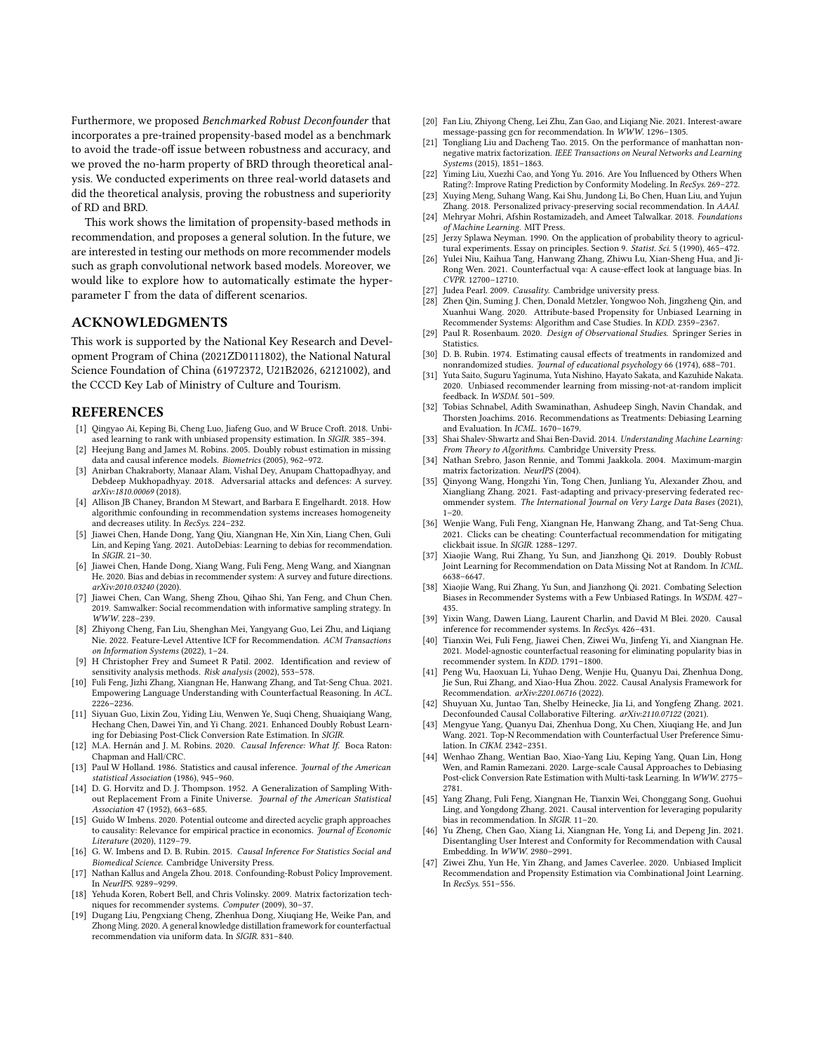Furthermore, we proposed Benchmarked Robust Deconfounder that incorporates a pre-trained propensity-based model as a benchmark to avoid the trade-off issue between robustness and accuracy, and we proved the no-harm property of BRD through theoretical analysis. We conducted experiments on three real-world datasets and did the theoretical analysis, proving the robustness and superiority of RD and BRD.

This work shows the limitation of propensity-based methods in recommendation, and proposes a general solution. In the future, we are interested in testing our methods on more recommender models such as graph convolutional network based models. Moreover, we would like to explore how to automatically estimate the hyperparameter Γ from the data of different scenarios.

## ACKNOWLEDGMENTS

This work is supported by the National Key Research and Development Program of China (2021ZD0111802), the National Natural Science Foundation of China (61972372, U21B2026, 62121002), and the CCCD Key Lab of Ministry of Culture and Tourism.

#### REFERENCES

- <span id="page-8-43"></span>[1] Qingyao Ai, Keping Bi, Cheng Luo, Jiafeng Guo, and W Bruce Croft. 2018. Unbiased learning to rank with unbiased propensity estimation. In SIGIR. 385–394.
- <span id="page-8-30"></span>[2] Heejung Bang and James M. Robins. 2005. Doubly robust estimation in missing data and causal inference models. Biometrics (2005), 962–972.
- <span id="page-8-22"></span>[3] Anirban Chakraborty, Manaar Alam, Vishal Dey, Anupam Chattopadhyay, and Debdeep Mukhopadhyay. 2018. Adversarial attacks and defences: A survey. arXiv:1810.00069 (2018).
- <span id="page-8-41"></span>[4] Allison JB Chaney, Brandon M Stewart, and Barbara E Engelhardt. 2018. How algorithmic confounding in recommendation systems increases homogeneity and decreases utility. In RecSys. 224–232.
- <span id="page-8-10"></span>[5] Jiawei Chen, Hande Dong, Yang Qiu, Xiangnan He, Xin Xin, Liang Chen, Guli Lin, and Keping Yang. 2021. AutoDebias: Learning to debias for recommendation. In SIGIR. 21–30.
- <span id="page-8-8"></span>[6] Jiawei Chen, Hande Dong, Xiang Wang, Fuli Feng, Meng Wang, and Xiangnan He. 2020. Bias and debias in recommender system: A survey and future directions. arXiv:2010.03240 (2020).
- <span id="page-8-2"></span>[7] Jiawei Chen, Can Wang, Sheng Zhou, Qihao Shi, Yan Feng, and Chun Chen. 2019. Samwalker: Social recommendation with informative sampling strategy. In WWW. 228–239.
- <span id="page-8-0"></span>[8] Zhiyong Cheng, Fan Liu, Shenghan Mei, Yangyang Guo, Lei Zhu, and Liqiang Nie. 2022. Feature-Level Attentive ICF for Recommendation. ACM Transactions on Information Systems (2022), 1–24.
- <span id="page-8-20"></span>[9] H Christopher Frey and Sumeet R Patil. 2002. Identification and review of sensitivity analysis methods. Risk analysis (2002), 553-578.
- <span id="page-8-38"></span>[10] Fuli Feng, Jizhi Zhang, Xiangnan He, Hanwang Zhang, and Tat-Seng Chua. 2021. Empowering Language Understanding with Counterfactual Reasoning. In ACL. 2226–2236.
- <span id="page-8-27"></span>[11] Siyuan Guo, Lixin Zou, Yiding Liu, Wenwen Ye, Suqi Cheng, Shuaiqiang Wang, Hechang Chen, Dawei Yin, and Yi Chang. 2021. Enhanced Doubly Robust Learning for Debiasing Post-Click Conversion Rate Estimation. In SIGIR.
- <span id="page-8-17"></span>[12] M.A. Hernán and J. M. Robins. 2020. Causal Inference: What If. Boca Raton: Chapman and Hall/CRC.
- <span id="page-8-13"></span>[13] Paul W Holland. 1986. Statistics and causal inference. Journal of the American statistical Association (1986), 945–960.
- <span id="page-8-25"></span>[14] D. G. Horvitz and D. J. Thompson. 1952. A Generalization of Sampling Without Replacement From a Finite Universe. Journal of the American Statistical Association 47 (1952), 663–685.
- <span id="page-8-18"></span>[15] Guido W Imbens. 2020. Potential outcome and directed acyclic graph approaches to causality: Relevance for empirical practice in economics. Journal of Economic Literature (2020), 1129–79.
- <span id="page-8-23"></span>[16] G. W. Imbens and D. B. Rubin. 2015. Causal Inference For Statistics Social and Biomedical Science. Cambridge University Press.
- <span id="page-8-19"></span>[17] Nathan Kallus and Angela Zhou. 2018. Confounding-Robust Policy Improvement. In NeurIPS. 9289–9299.
- <span id="page-8-37"></span>[18] Yehuda Koren, Robert Bell, and Chris Volinsky. 2009. Matrix factorization techniques for recommender systems. Computer (2009), 30–37.
- <span id="page-8-36"></span>[19] Dugang Liu, Pengxiang Cheng, Zhenhua Dong, Xiuqiang He, Weike Pan, and Zhong Ming. 2020. A general knowledge distillation framework for counterfactual recommendation via uniform data. In SIGIR. 831–840.
- <span id="page-8-3"></span>[20] Fan Liu, Zhiyong Cheng, Lei Zhu, Zan Gao, and Liqiang Nie. 2021. Interest-aware message-passing gcn for recommendation. In WWW. 1296–1305.
- <span id="page-8-34"></span>[21] Tongliang Liu and Dacheng Tao. 2015. On the performance of manhattan nonnegative matrix factorization. IEEE Transactions on Neural Networks and Learning Systems (2015), 1851–1863.
- <span id="page-8-44"></span>[22] Yiming Liu, Xuezhi Cao, and Yong Yu. 2016. Are You Influenced by Others When Rating?: Improve Rating Prediction by Conformity Modeling. In RecSys. 269–272.
- <span id="page-8-15"></span>[23] Xuying Meng, Suhang Wang, Kai Shu, Jundong Li, Bo Chen, Huan Liu, and Yujun Zhang. 2018. Personalized privacy-preserving social recommendation. In AAAI.
- <span id="page-8-33"></span>[24] Mehryar Mohri, Afshin Rostamizadeh, and Ameet Talwalkar. 2018. Foundations of Machine Learning. MIT Press.
- <span id="page-8-6"></span>[25] Jerzy Splawa Neyman. 1990. On the application of probability theory to agricultural experiments. Essay on principles. Section 9. Statist. Sci. 5 (1990), 465–472.
- <span id="page-8-39"></span>[26] Yulei Niu, Kaihua Tang, Hanwang Zhang, Zhiwu Lu, Xian-Sheng Hua, and Ji-Rong Wen. 2021. Counterfactual vqa: A cause-effect look at language bias. In CVPR. 12700–12710.
- <span id="page-8-5"></span>[27] Judea Pearl. 2009. Causality. Cambridge university press.
- <span id="page-8-31"></span>[28] Zhen Qin, Suming J. Chen, Donald Metzler, Yongwoo Noh, Jingzheng Qin, and Xuanhui Wang. 2020. Attribute-based Propensity for Unbiased Learning in Recommender Systems: Algorithm and Case Studies. In KDD. 2359–2367.
- <span id="page-8-21"></span>[29] Paul R. Rosenbaum. 2020. Design of Observational Studies. Springer Series in Statistics.
- <span id="page-8-7"></span>[30] D. B. Rubin. 1974. Estimating causal effects of treatments in randomized and nonrandomized studies. Journal of educational psychology 66 (1974), 688–701.
- <span id="page-8-26"></span>[31] Yuta Saito, Suguru Yaginuma, Yuta Nishino, Hayato Sakata, and Kazuhide Nakata. 2020. Unbiased recommender learning from missing-not-at-random implicit feedback. In WSDM. 501–509.
- <span id="page-8-11"></span>[32] Tobias Schnabel, Adith Swaminathan, Ashudeep Singh, Navin Chandak, and Thorsten Joachims. 2016. Recommendations as Treatments: Debiasing Learning and Evaluation. In ICML. 1670–1679.
- <span id="page-8-46"></span>[33] Shai Shalev-Shwartz and Shai Ben-David. 2014. Understanding Machine Learning: From Theory to Algorithms. Cambridge University Press.
- <span id="page-8-35"></span>[34] Nathan Srebro, Jason Rennie, and Tommi Jaakkola. 2004. Maximum-margin matrix factorization. NeurIPS (2004).
- <span id="page-8-16"></span>[35] Qinyong Wang, Hongzhi Yin, Tong Chen, Junliang Yu, Alexander Zhou, and Xiangliang Zhang. 2021. Fast-adapting and privacy-preserving federated recommender system. The International Journal on Very Large Data Bases (2021),  $1 - 20.$
- <span id="page-8-1"></span>[36] Wenjie Wang, Fuli Feng, Xiangnan He, Hanwang Zhang, and Tat-Seng Chua. 2021. Clicks can be cheating: Counterfactual recommendation for mitigating clickbait issue. In SIGIR. 1288–1297.
- <span id="page-8-12"></span>[37] Xiaojie Wang, Rui Zhang, Yu Sun, and Jianzhong Qi. 2019. Doubly Robust Joint Learning for Recommendation on Data Missing Not at Random. In ICML. 6638–6647.
- <span id="page-8-28"></span>[38] Xiaojie Wang, Rui Zhang, Yu Sun, and Jianzhong Qi. 2021. Combating Selection Biases in Recommender Systems with a Few Unbiased Ratings. In WSDM. 427– 435.
- <span id="page-8-14"></span>[39] Yixin Wang, Dawen Liang, Laurent Charlin, and David M Blei. 2020. Causal inference for recommender systems. In RecSys. 426–431.
- <span id="page-8-4"></span>[40] Tianxin Wei, Fuli Feng, Jiawei Chen, Ziwei Wu, Jinfeng Yi, and Xiangnan He. 2021. Model-agnostic counterfactual reasoning for eliminating popularity bias in recommender system. In KDD. 1791–1800.
- <span id="page-8-24"></span>[41] Peng Wu, Haoxuan Li, Yuhao Deng, Wenjie Hu, Quanyu Dai, Zhenhua Dong, Jie Sun, Rui Zhang, and Xiao-Hua Zhou. 2022. Causal Analysis Framework for Recommendation. arXiv:2201.06716 (2022).
- <span id="page-8-40"></span>[42] Shuyuan Xu, Juntao Tan, Shelby Heinecke, Jia Li, and Yongfeng Zhang. 2021. Deconfounded Causal Collaborative Filtering. arXiv:2110.07122 (2021).
- <span id="page-8-42"></span>[43] Mengyue Yang, Quanyu Dai, Zhenhua Dong, Xu Chen, Xiuqiang He, and Jun Wang. 2021. Top-N Recommendation with Counterfactual User Preference Simulation. In CIKM. 2342–2351.
- <span id="page-8-29"></span>[44] Wenhao Zhang, Wentian Bao, Xiao-Yang Liu, Keping Yang, Quan Lin, Hong Wen, and Ramin Ramezani. 2020. Large-scale Causal Approaches to Debiasing Post-click Conversion Rate Estimation with Multi-task Learning. In WWW. 2775– 2781.
- <span id="page-8-9"></span>[45] Yang Zhang, Fuli Feng, Xiangnan He, Tianxin Wei, Chonggang Song, Guohui Ling, and Yongdong Zhang. 2021. Causal intervention for leveraging popularity bias in recommendation. In SIGIR. 11–20.
- <span id="page-8-45"></span>[46] Yu Zheng, Chen Gao, Xiang Li, Xiangnan He, Yong Li, and Depeng Jin. 2021. Disentangling User Interest and Conformity for Recommendation with Causal Embedding. In WWW. 2980–2991.
- <span id="page-8-32"></span>Ziwei Zhu, Yun He, Yin Zhang, and James Caverlee. 2020. Unbiased Implicit Recommendation and Propensity Estimation via Combinational Joint Learning. In RecSys. 551–556.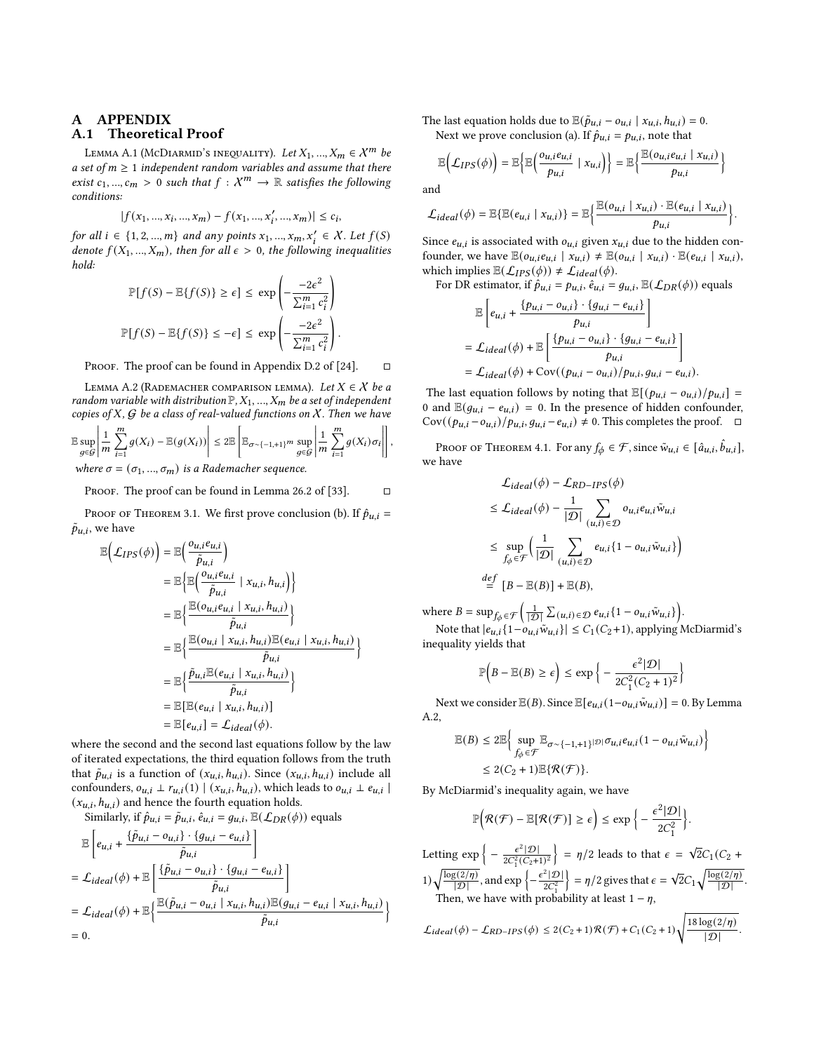## A APPENDIX A.1 Theoretical Proof

LEMMA A.1 (MCDIARMID'S INEQUALITY). Let  $X_1, ..., X_m \in \mathcal{X}^m$  be a set of  $m \geq 1$  independent random variables and assume that there exist  $c_1, ..., c_m > 0$  such that  $f : \mathcal{X}^m \to \mathbb{R}$  satisfies the following conditions:

$$
|f(x_1, ..., x_i, ..., x_m) - f(x_1, ..., x_i', ..., x_m)| \le c_i,
$$

for all  $i \in \{1, 2, ..., m\}$  and any points  $x_1, ..., x_m, x'_i \in X$ . Let  $f(S)$ denote  $f(X_1, ..., X_m)$ , then for all  $\epsilon > 0$ , the following inequalities hold:

$$
\mathbb{P}[f(S) - \mathbb{E}\{f(S)\} \ge \epsilon] \le \exp\left(-\frac{-2\epsilon^2}{\sum_{i=1}^m c_i^2}\right)
$$

$$
\mathbb{P}[f(S) - \mathbb{E}\{f(S)\} \le -\epsilon] \le \exp\left(-\frac{-2\epsilon^2}{\sum_{i=1}^m c_i^2}\right).
$$

PROOF. The proof can be found in Appendix D.2 of [\[24\]](#page-8-33).  $\Box$ 

<span id="page-9-0"></span>LEMMA A.2 (RADEMACHER COMPARISON LEMMA). Let  $X \in \mathcal{X}$  be a random variable with distribution  $\mathbb{P},X_1,...,X_m$  be a set of independent copies of X,  $G$  be a class of real-valued functions on  $X$ . Then we have

$$
\mathbb{E}\sup_{g\in\mathcal{G}}\left|\frac{1}{m}\sum_{i=1}^{m}g(X_i)-\mathbb{E}(g(X_i))\right|\leq 2\mathbb{E}\left[\mathbb{E}_{\sigma\sim\{-1,+1\}}\sup_{g\in\mathcal{G}}\left|\frac{1}{m}\sum_{i=1}^{m}g(X_i)\sigma_i\right|\right]
$$

where  $\sigma = (\sigma_1, ..., \sigma_m)$  is a Rademacher sequence.

PROOF. The proof can be found in Lemma 26.2 of [\[33\]](#page-8-46).  $\Box$ 

PROOF OF THEOREM 3.1. We first prove conclusion (b). If  $\hat{p}_{u,i}$  =  $\tilde{p}_{u,i}$ , we have

$$
\mathbb{E}\left(\mathcal{L}_{IPS}(\phi)\right) = \mathbb{E}\left(\frac{o_{u,i}e_{u,i}}{\tilde{p}_{u,i}}\right)
$$
  
\n
$$
= \mathbb{E}\left\{\mathbb{E}\left(\frac{o_{u,i}e_{u,i}}{\tilde{p}_{u,i}} \mid x_{u,i}, h_{u,i}\right)\right\}
$$
  
\n
$$
= \mathbb{E}\left\{\frac{\mathbb{E}(o_{u,i}e_{u,i} \mid x_{u,i}, h_{u,i})}{\tilde{p}_{u,i}}\right\}
$$
  
\n
$$
= \mathbb{E}\left\{\frac{\mathbb{E}(o_{u,i} \mid x_{u,i}, h_{u,i})\mathbb{E}(e_{u,i} \mid x_{u,i}, h_{u,i})}{\tilde{p}_{u,i}}\right\}
$$
  
\n
$$
= \mathbb{E}\left\{\frac{\tilde{p}_{u,i}\mathbb{E}(e_{u,i} \mid x_{u,i}, h_{u,i})}{\tilde{p}_{u,i}}\right\}
$$
  
\n
$$
= \mathbb{E}\left[\mathbb{E}(e_{u,i} \mid x_{u,i}, h_{u,i})\right]
$$
  
\n
$$
= \mathbb{E}[e_{u,i}] = \mathcal{L}_{ideal}(\phi).
$$

where the second and the second last equations follow by the law of iterated expectations, the third equation follows from the truth that  $\tilde{p}_{u,i}$  is a function of  $(x_{u,i}, h_{u,i})$ . Since  $(x_{u,i}, h_{u,i})$  include all confounders,  $o_{u,i} \perp r_{u,i}(1) | (x_{u,i}, h_{u,i})$ , which leads to  $o_{u,i} \perp e_{u,i}$  $(x_{u,i}, h_{u,i})$  and hence the fourth equation holds.

Similarly, if 
$$
\hat{p}_{u,i} = \tilde{p}_{u,i}
$$
,  $\hat{e}_{u,i} = g_{u,i}$ ,  $\mathbb{E}(\mathcal{L}_{DR}(\phi))$  equals  
\n
$$
\mathbb{E}\left[e_{u,i} + \frac{\{\tilde{p}_{u,i} - o_{u,i}\} \cdot \{g_{u,i} - e_{u,i}\}}{\tilde{p}_{u,i}}\right]
$$
\n
$$
= \mathcal{L}_{ideal}(\phi) + \mathbb{E}\left[\frac{\{\tilde{p}_{u,i} - o_{u,i}\} \cdot \{g_{u,i} - e_{u,i}\}}{\tilde{p}_{u,i}}\right]
$$
\n
$$
= \mathcal{L}_{ideal}(\phi) + \mathbb{E}\left\{\frac{\mathbb{E}(\tilde{p}_{u,i} - o_{u,i} \mid x_{u,i}, h_{u,i}) \mathbb{E}(g_{u,i} - e_{u,i} \mid x_{u,i}, h_{u,i})}{\tilde{p}_{u,i}}\right\}
$$
\n
$$
= 0.
$$

The last equation holds due to  $\mathbb{E}(\tilde{p}_{u,i} - o_{u,i} | x_{u,i}, h_{u,i}) = 0$ . Next we prove conclusion (a). If  $\hat{p}_{u,i} = p_{u,i}$ , note that

$$
\mathbb{E}\Big(\mathcal{L}_{IPS}(\phi)\Big)=\mathbb{E}\Big\{\mathbb{E}\Big(\frac{o_{u,i}e_{u,i}}{p_{u,i}}\mid x_{u,i}\Big)\Big\}=\mathbb{E}\Big\{\frac{\mathbb{E}(o_{u,i}e_{u,i}\mid x_{u,i})}{p_{u,i}}\Big\}
$$

and

,

$$
\mathcal{L}_{ideal}(\phi) = \mathbb{E}\{\mathbb{E}(e_{u,i} \mid x_{u,i})\} = \mathbb{E}\left\{\frac{\mathbb{E}(o_{u,i} \mid x_{u,i}) \cdot \mathbb{E}(e_{u,i} \mid x_{u,i})}{p_{u,i}}\right\}.
$$

Since  $e_{u,i}$  is associated with  $o_{u,i}$  given  $x_{u,i}$  due to the hidden confounder, we have  $\mathbb{E}(o_{u,i}e_{u,i} \mid x_{u,i}) \neq \mathbb{E}(o_{u,i} \mid x_{u,i}) \cdot \mathbb{E}(e_{u,i} \mid x_{u,i}),$ which implies  $\mathbb{E}(\mathcal{L}_{IPS}(\phi)) \neq \mathcal{L}_{ideal}(\phi)$ .

For DR estimator, if  $\hat{p}_{u,i} = p_{u,i}$ ,  $\hat{e}_{u,i} = g_{u,i}$ ,  $\mathbb{E}(\mathcal{L}_{DR}(\phi))$  equals

$$
\mathbb{E}\left[e_{u,i} + \frac{\{p_{u,i} - o_{u,i}\} \cdot \{g_{u,i} - e_{u,i}\}}{p_{u,i}}\right]
$$
\n
$$
= \mathcal{L}_{ideal}(\phi) + \mathbb{E}\left[\frac{\{p_{u,i} - o_{u,i}\} \cdot \{g_{u,i} - e_{u,i}\}}{p_{u,i}}\right]
$$
\n
$$
= \mathcal{L}_{ideal}(\phi) + \text{Cov}((p_{u,i} - o_{u,i})/p_{u,i}, g_{u,i} - e_{u,i}).
$$

The last equation follows by noting that  $\mathbb{E}[(p_{u,i} - o_{u,i})/p_{u,i}] =$ 0 and  $\mathbb{E}(g_{u,i} - e_{u,i}) = 0$ . In the presence of hidden confounder, Cov( $(p_{u,i} - o_{u,i})/p_{u,i}, g_{u,i} - e_{u,i}$ ) ≠ 0. This completes the proof.  $□$ 

Proof of Theorem 4.1. For any  $f_{\phi} \in \mathcal{F}$ , since  $\tilde{w}_{u,i} \in [\hat{a}_{u,i}, \hat{b}_{u,i}]$ , we have

$$
\mathcal{L}_{ideal}(\phi) - \mathcal{L}_{RD-IPS}(\phi)
$$
\n
$$
\leq \mathcal{L}_{ideal}(\phi) - \frac{1}{|\mathcal{D}|} \sum_{(u,i) \in \mathcal{D}} o_{u,i} e_{u,i} \tilde{w}_{u,i}
$$
\n
$$
\leq \sup_{f_{\phi} \in \mathcal{F}} \left( \frac{1}{|\mathcal{D}|} \sum_{(u,i) \in \mathcal{D}} e_{u,i} \{ 1 - o_{u,i} \tilde{w}_{u,i} \} \right)
$$
\n
$$
\stackrel{def}{=} [B - \mathbb{E}(B)] + \mathbb{E}(B),
$$

where  $B = \sup_{f_{\phi} \in \mathcal{F}} \left( \frac{1}{|f|} \right)$  $\frac{1}{|\mathcal{D}|} \sum_{(u,i) \in \mathcal{D}} e_{u,i} \{1 - o_{u,i} \tilde{w}_{u,i}\}\bigg).$ 

Note that  $|e_{u,i}\{1-o_{u,i}\tilde{w}_{u,i}\}|\leq C_1(C_2+1)$ , applying McDiarmid's inequality yields that

$$
\mathbb{P}\left(B - \mathbb{E}(B) \ge \epsilon\right) \le \exp\left\{-\frac{\epsilon^2|\mathcal{D}|}{2C_1^2(C_2 + 1)^2}\right\}
$$

Next we consider  $\mathbb{E}(B)$ . Since  $\mathbb{E}[e_{u,i}(1-o_{u,i}\tilde{w}_{u,i})] = 0$ . By Lemma [A.2,](#page-9-0)

$$
\begin{aligned} \mathbb{E}(B)&\leq 2\mathbb{E}\bigg\{\sup_{f_{\phi}\in \mathcal{F}}\mathbb{E}_{\sigma\sim \{-1,+1\}}|\mathcal{D}|\sigma_{u,i}e_{u,i}(1-o_{u,i}\tilde{w}_{u,i})\bigg\}\\ &\leq 2(C_2+1)\mathbb{E}\{\mathcal{R}(\mathcal{F})\}. \end{aligned}
$$

By McDiarmid's inequality again, we have

$$
\mathbb{P}\Big(\mathcal{R}(\mathcal{F}) - \mathbb{E}[\mathcal{R}(\mathcal{F})] \geq \epsilon\Big) \leq \exp\Big\{-\frac{\epsilon^2|\mathcal{D}|}{2C_1^2}\Big\}.
$$

Letting  $\exp\left\{-\frac{\epsilon^2|\mathcal{D}|}{2C_1^2(C_2+1)^2}\right\} = \eta/2$  leads to that  $\epsilon = \sqrt{2}C_1(C_2 +$ 1)  $\sqrt{\frac{\log(2/\eta)}{|\mathcal{D}|}}$ , and  $\exp \left\{-\frac{\epsilon^2 |\mathcal{D}|}{2C_1^2}\right\}$  $\left\{\n= \frac{\eta}{2 \text{ gives that } \epsilon = \sqrt{2}C_1 \sqrt{\frac{\log(2/\eta)}{|D|}}\n\right\}.$ Then, we have with probability at least  $1 - \eta$ ,

$$
\mathcal{L}_{ideal}(\phi) - \mathcal{L}_{RD-IPS}(\phi) \leq 2(C_2 + 1)\mathcal{R}(\mathcal{F}) + C_1(C_2 + 1)\sqrt{\frac{18\log(2/\eta)}{|\mathcal{D}|}}.
$$